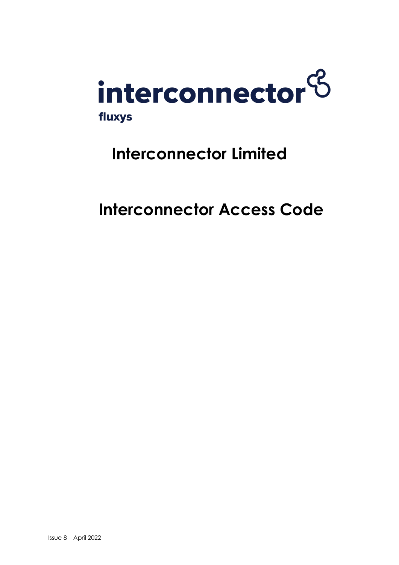

# **Interconnector Limited**

**Interconnector Access Code**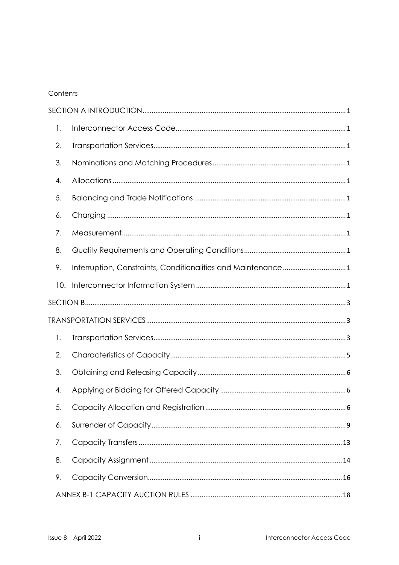# Contents

| 1.  |  |
|-----|--|
| 2.  |  |
| 3.  |  |
| 4.  |  |
| 5.  |  |
| 6.  |  |
| 7.  |  |
| 8.  |  |
| 9.  |  |
| 10. |  |
|     |  |
|     |  |
| 1.  |  |
| 2.  |  |
| 3.  |  |
| 4.  |  |
| 5.  |  |
| 6.  |  |
| 7.  |  |
| 8.  |  |
| 9.  |  |
|     |  |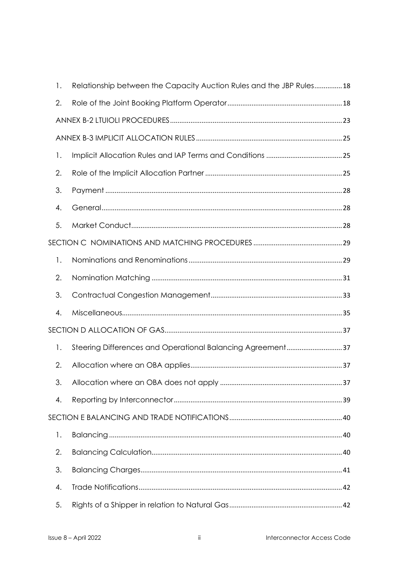| 1. | Relationship between the Capacity Auction Rules and the JBP Rules18 |  |  |
|----|---------------------------------------------------------------------|--|--|
| 2. |                                                                     |  |  |
|    |                                                                     |  |  |
|    |                                                                     |  |  |
| 1. |                                                                     |  |  |
| 2. |                                                                     |  |  |
| 3. |                                                                     |  |  |
| 4. |                                                                     |  |  |
| 5. |                                                                     |  |  |
|    |                                                                     |  |  |
| 1. |                                                                     |  |  |
| 2. |                                                                     |  |  |
| 3. |                                                                     |  |  |
| 4. |                                                                     |  |  |
|    |                                                                     |  |  |
| 1. | Steering Differences and Operational Balancing Agreement37          |  |  |
| 2. |                                                                     |  |  |
| 3. |                                                                     |  |  |
| 4. |                                                                     |  |  |
|    |                                                                     |  |  |
| 1. |                                                                     |  |  |
| 2. |                                                                     |  |  |
| 3. |                                                                     |  |  |
| 4. |                                                                     |  |  |
| 5. |                                                                     |  |  |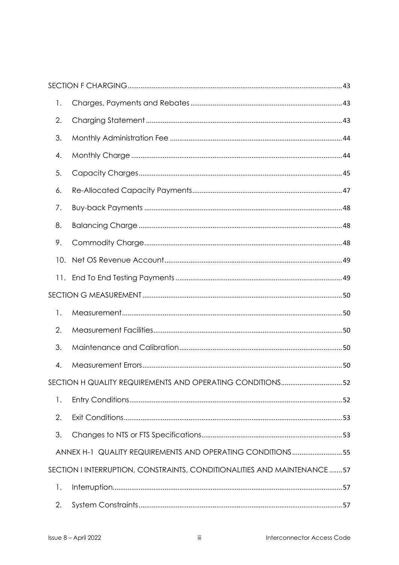| 1.  |                                                                         |  |
|-----|-------------------------------------------------------------------------|--|
| 2.  |                                                                         |  |
| 3.  |                                                                         |  |
| 4.  |                                                                         |  |
| 5.  |                                                                         |  |
| 6.  |                                                                         |  |
| 7.  |                                                                         |  |
| 8.  |                                                                         |  |
| 9.  |                                                                         |  |
| 10. |                                                                         |  |
|     |                                                                         |  |
|     |                                                                         |  |
| 1.  |                                                                         |  |
| 2.  |                                                                         |  |
| 3.  |                                                                         |  |
| 4.  |                                                                         |  |
|     |                                                                         |  |
| 1.  |                                                                         |  |
| 2.  |                                                                         |  |
| 3.  |                                                                         |  |
|     | ANNEX H-1 QUALITY REQUIREMENTS AND OPERATING CONDITIONS55               |  |
|     | SECTION I INTERRUPTION, CONSTRAINTS, CONDITIONALITIES AND MAINTENANCE57 |  |
| 1.  |                                                                         |  |
| 2.  |                                                                         |  |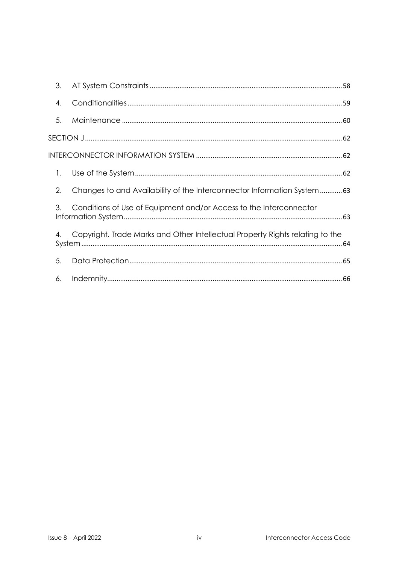| 3. |                                                                               |
|----|-------------------------------------------------------------------------------|
| 4. |                                                                               |
| 5. |                                                                               |
|    |                                                                               |
|    |                                                                               |
| 1. |                                                                               |
| 2. | Changes to and Availability of the Interconnector Information System63        |
| 3. | Conditions of Use of Equipment and/or Access to the Interconnector            |
| 4. | Copyright, Trade Marks and Other Intellectual Property Rights relating to the |
| 5. |                                                                               |
| 6. |                                                                               |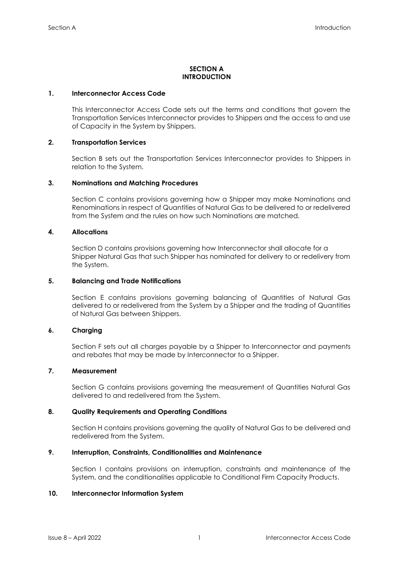# **SECTION A INTRODUCTION**

# <span id="page-5-1"></span><span id="page-5-0"></span>**1. Interconnector Access Code**

This Interconnector Access Code sets out the terms and conditions that govern the Transportation Services Interconnector provides to Shippers and the access to and use of Capacity in the System by Shippers.

# <span id="page-5-2"></span>**2. Transportation Services**

Section B sets out the Transportation Services Interconnector provides to Shippers in relation to the System.

# <span id="page-5-3"></span>**3. Nominations and Matching Procedures**

Section C contains provisions governing how a Shipper may make Nominations and Renominations in respect of Quantities of Natural Gas to be delivered to or redelivered from the System and the rules on how such Nominations are matched.

# <span id="page-5-4"></span>**4. Allocations**

Section D contains provisions governing how Interconnector shall allocate for a Shipper Natural Gas that such Shipper has nominated for delivery to or redelivery from the System.

# <span id="page-5-5"></span>**5. Balancing and Trade Notifications**

Section E contains provisions governing balancing of Quantities of Natural Gas delivered to or redelivered from the System by a Shipper and the trading of Quantities of Natural Gas between Shippers.

# <span id="page-5-6"></span>**6. Charging**

Section F sets out all charges payable by a Shipper to Interconnector and payments and rebates that may be made by Interconnector to a Shipper.

# <span id="page-5-7"></span>**7. Measurement**

Section G contains provisions governing the measurement of Quantities Natural Gas delivered to and redelivered from the System.

# <span id="page-5-8"></span>**8. Quality Requirements and Operating Conditions**

Section H contains provisions governing the quality of Natural Gas to be delivered and redelivered from the System.

# <span id="page-5-9"></span>**9. Interruption, Constraints, Conditionalities and Maintenance**

Section I contains provisions on interruption, constraints and maintenance of the System, and the conditionalities applicable to Conditional Firm Capacity Products.

# <span id="page-5-10"></span>**10. Interconnector Information System**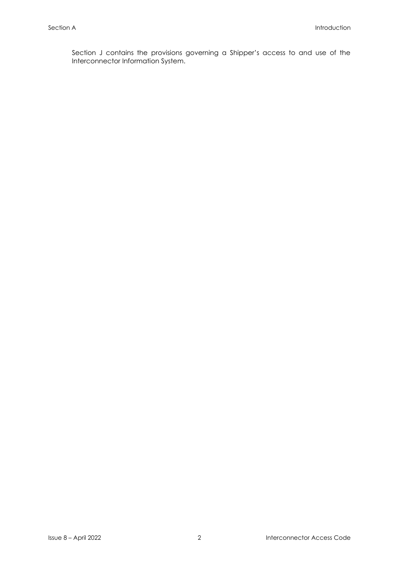Section J contains the provisions governing a Shipper's access to and use of the Interconnector Information System.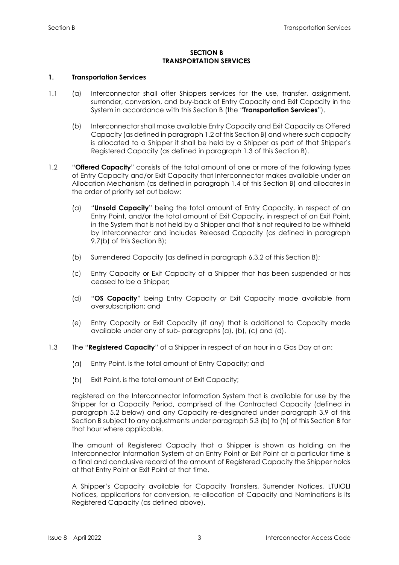# **SECTION B TRANSPORTATION SERVICES**

# <span id="page-7-2"></span><span id="page-7-1"></span><span id="page-7-0"></span>**1. Transportation Services**

- 1.1 (a) Interconnector shall offer Shippers services for the use, transfer, assignment, surrender, conversion, and buy-back of Entry Capacity and Exit Capacity in the System in accordance with this Section B (the "**Transportation Services**").
	- (b) Interconnector shall make available Entry Capacity and Exit Capacity as Offered Capacity (as defined in paragraph 1.2 of this Section B) and where such capacity is allocated to a Shipper it shall be held by a Shipper as part of that Shipper's Registered Capacity (as defined in paragraph 1.3 of this Section B).
- 1.2 "**Offered Capacity**" consists of the total amount of one or more of the following types of Entry Capacity and/or Exit Capacity that Interconnector makes available under an Allocation Mechanism (as defined in paragraph 1.4 of this Section B) and allocates in the order of priority set out below:
	- (a) "**Unsold Capacity**" being the total amount of Entry Capacity, in respect of an Entry Point, and/or the total amount of Exit Capacity, in respect of an Exit Point, in the System that is not held by a Shipper and that is not required to be withheld by Interconnector and includes Released Capacity (as defined in paragraph 9.7(b) of this Section B);
	- (b) Surrendered Capacity (as defined in paragraph 6.3.2 of this Section B);
	- (c) Entry Capacity or Exit Capacity of a Shipper that has been suspended or has ceased to be a Shipper;
	- (d) "**OS Capacity**" being Entry Capacity or Exit Capacity made available from oversubscription; and
	- (e) Entry Capacity or Exit Capacity (if any) that is additional to Capacity made available under any of sub- paragraphs (a), (b), (c) and (d).
- 1.3 The "**Registered Capacity**" of a Shipper in respect of an hour in a Gas Day at an:
	- $(a)$ Entry Point, is the total amount of Entry Capacity; and
	- (b) Exit Point, is the total amount of Exit Capacity;

registered on the Interconnector Information System that is available for use by the Shipper for a Capacity Period, comprised of the Contracted Capacity (defined in paragraph 5.2 below) and any Capacity re-designated under paragraph 3.9 of this Section B subject to any adjustments under paragraph 5.3 (b) to (h) of this Section B for that hour where applicable.

The amount of Registered Capacity that a Shipper is shown as holding on the Interconnector Information System at an Entry Point or Exit Point at a particular time is a final and conclusive record of the amount of Registered Capacity the Shipper holds at that Entry Point or Exit Point at that time.

A Shipper's Capacity available for Capacity Transfers, Surrender Notices, LTUIOLI Notices, applications for conversion, re-allocation of Capacity and Nominations is its Registered Capacity (as defined above).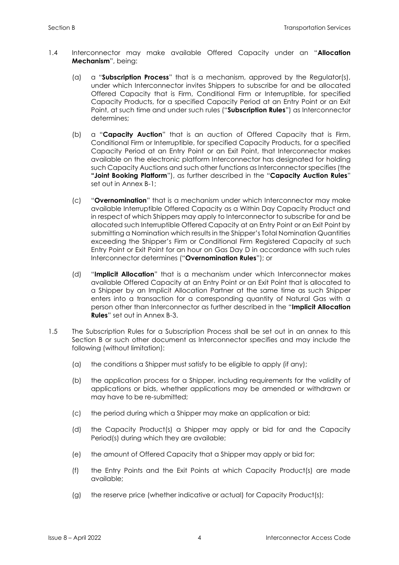- 1.4 Interconnector may make available Offered Capacity under an "**Allocation Mechanism**", being:
	- (a) a "**Subscription Process**" that is a mechanism, approved by the Regulator(s), under which Interconnector invites Shippers to subscribe for and be allocated Offered Capacity that is Firm, Conditional Firm or Interruptible, for specified Capacity Products, for a specified Capacity Period at an Entry Point or an Exit Point, at such time and under such rules ("**Subscription Rules**") as Interconnector determines;
	- (b) a "**Capacity Auction**" that is an auction of Offered Capacity that is Firm, Conditional Firm or Interruptible, for specified Capacity Products, for a specified Capacity Period at an Entry Point or an Exit Point, that Interconnector makes available on the electronic platform Interconnector has designated for holding such Capacity Auctions and such other functions as Interconnector specifies (the **"Joint Booking Platform**"), as further described in the "**Capacity Auction Rules**" set out in Annex B-1;
	- (c) "**Overnomination**" that is a mechanism under which Interconnector may make available Interruptible Offered Capacity as a Within Day Capacity Product and in respect of which Shippers may apply to Interconnector to subscribe for and be allocated such Interruptible Offered Capacity at an Entry Point or an Exit Point by submitting a Nomination which results in the Shipper's Total Nomination Quantities exceeding the Shipper's Firm or Conditional Firm Registered Capacity at such Entry Point or Exit Point for an hour on Gas Day D in accordance with such rules Interconnector determines ("**Overnomination Rules**"); or
	- (d) "**Implicit Allocation**" that is a mechanism under which Interconnector makes available Offered Capacity at an Entry Point or an Exit Point that is allocated to a Shipper by an Implicit Allocation Partner at the same time as such Shipper enters into a transaction for a corresponding quantity of Natural Gas with a person other than Interconnector as further described in the "**Implicit Allocation Rules**" set out in Annex B-3.
- 1.5 The Subscription Rules for a Subscription Process shall be set out in an annex to this Section B or such other document as Interconnector specifies and may include the following (without limitation):
	- (a) the conditions a Shipper must satisfy to be eligible to apply (if any);
	- (b) the application process for a Shipper, including requirements for the validity of applications or bids, whether applications may be amended or withdrawn or may have to be re-submitted;
	- (c) the period during which a Shipper may make an application or bid;
	- (d) the Capacity Product(s) a Shipper may apply or bid for and the Capacity Period(s) during which they are available;
	- (e) the amount of Offered Capacity that a Shipper may apply or bid for;
	- (f) the Entry Points and the Exit Points at which Capacity Product(s) are made available;
	- (g) the reserve price (whether indicative or actual) for Capacity Product(s);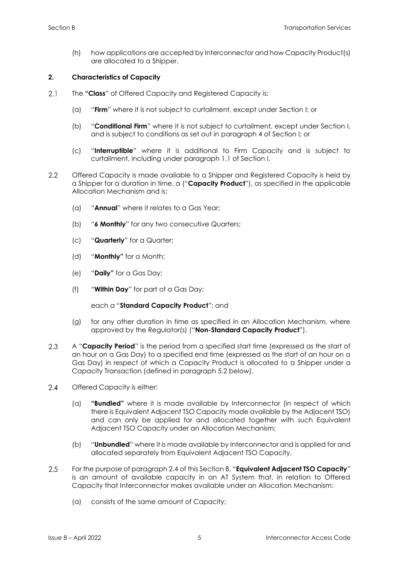(h) how applications are accepted by Interconnector and how Capacity Product(s) are allocated to a Shipper.

# <span id="page-9-0"></span>**2. Characteristics of Capacity**

- $2.1$ The **"Class**" of Offered Capacity and Registered Capacity is:
	- (a) "**Firm**" where it is not subject to curtailment, except under Section I; or
	- (b) "**Conditional Firm**" where it is not subject to curtailment, except under Section I, and is subject to conditions as set out in paragraph 4 of Section I; or
	- (c) "**Interruptible**" where it is additional to Firm Capacity and is subject to curtailment, including under paragraph 1.1 of Section I.
- $2.2$ Offered Capacity is made available to a Shipper and Registered Capacity is held by a Shipper for a duration in time, a ("**Capacity Product**"), as specified in the applicable Allocation Mechanism and is:
	- (a) "**Annual**" where it relates to a Gas Year;
	- (b) "**6 Monthly**" for any two consecutive Quarters;
	- (c) "**Quarterly**" for a Quarter;
	- (d) "**Monthly"** for a Month;
	- (e) "**Daily"** for a Gas Day;
	- (f) "**Within Day**" for part of a Gas Day;

# each a "**Standard Capacity Product**"; and

- (g) for any other duration in time as specified in an Allocation Mechanism, where approved by the Regulator(s) ("**Non-Standard Capacity Product**").
- $2.3$ A "**Capacity Period**" is the period from a specified start time (expressed as the start of an hour on a Gas Day) to a specified end time (expressed as the start of an hour on a Gas Day) in respect of which a Capacity Product is allocated to a Shipper under a Capacity Transaction (defined in paragraph 5.2 below).
- $2.4$ Offered Capacity is either:
	- (a) **"Bundled"** where it is made available by Interconnector (in respect of which there is Equivalent Adjacent TSO Capacity made available by the Adjacent TSO) and can only be applied for and allocated together with such Equivalent Adjacent TSO Capacity under an Allocation Mechanism;
	- (b) "**Unbundled**" where it is made available by Interconnector and is applied for and allocated separately from Equivalent Adjacent TSO Capacity.
- 2.5 For the purpose of paragraph 2.4 of this Section B, "**Equivalent Adjacent TSO Capacity**" is an amount of available capacity in an AT System that, in relation to Offered Capacity that Interconnector makes available under an Allocation Mechanism:
	- (a) consists of the same amount of Capacity;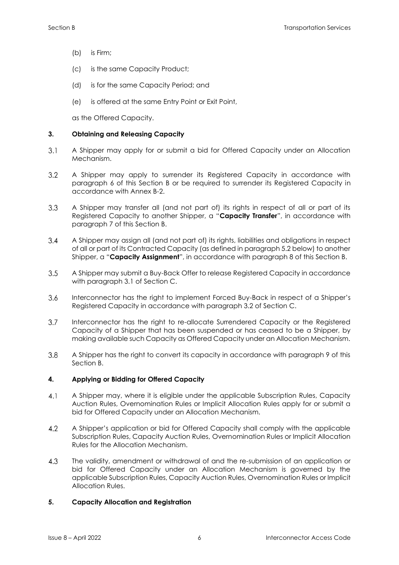- (b) is Firm;
- (c) is the same Capacity Product;
- (d) is for the same Capacity Period; and
- (e) is offered at the same Entry Point or Exit Point,

as the Offered Capacity.

# <span id="page-10-0"></span>**3. Obtaining and Releasing Capacity**

- $3.1$ A Shipper may apply for or submit a bid for Offered Capacity under an Allocation Mechanism.
- 3.2 A Shipper may apply to surrender its Registered Capacity in accordance with paragraph 6 of this Section B or be required to surrender its Registered Capacity in accordance with Annex B-2.
- $3.3$ A Shipper may transfer all (and not part of) its rights in respect of all or part of its Registered Capacity to another Shipper, a "**Capacity Transfer**", in accordance with paragraph 7 of this Section B.
- A Shipper may assign all (and not part of) its rights, liabilities and obligations in respect  $3.4$ of all or part of its Contracted Capacity (as defined in paragraph 5.2 below) to another Shipper, a "**Capacity Assignment**", in accordance with paragraph 8 of this Section B.
- $3.5$ A Shipper may submit a Buy-Back Offer to release Registered Capacity in accordance with paragraph 3.1 of Section C.
- $3.6$ Interconnector has the right to implement Forced Buy-Back in respect of a Shipper's Registered Capacity in accordance with paragraph 3.2 of Section C.
- $3.7$ Interconnector has the right to re-allocate Surrendered Capacity or the Registered Capacity of a Shipper that has been suspended or has ceased to be a Shipper, by making available such Capacity as Offered Capacity under an Allocation Mechanism.
- $3.8$ A Shipper has the right to convert its capacity in accordance with paragraph 9 of this Section B.

# <span id="page-10-1"></span>**4. Applying or Bidding for Offered Capacity**

- $4.1$ A Shipper may, where it is eligible under the applicable Subscription Rules, Capacity Auction Rules, Overnomination Rules or Implicit Allocation Rules apply for or submit a bid for Offered Capacity under an Allocation Mechanism.
- 4.2 A Shipper's application or bid for Offered Capacity shall comply with the applicable Subscription Rules, Capacity Auction Rules, Overnomination Rules or Implicit Allocation Rules for the Allocation Mechanism.
- 4.3 The validity, amendment or withdrawal of and the re-submission of an application or bid for Offered Capacity under an Allocation Mechanism is governed by the applicable Subscription Rules, Capacity Auction Rules, Overnomination Rules or Implicit Allocation Rules.

# <span id="page-10-2"></span>**5. Capacity Allocation and Registration**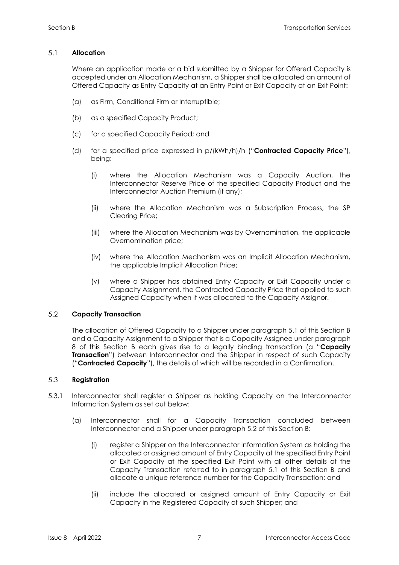#### $5.1$ **Allocation**

Where an application made or a bid submitted by a Shipper for Offered Capacity is accepted under an Allocation Mechanism, a Shipper shall be allocated an amount of Offered Capacity as Entry Capacity at an Entry Point or Exit Capacity at an Exit Point:

- (a) as Firm, Conditional Firm or Interruptible;
- (b) as a specified Capacity Product;
- (c) for a specified Capacity Period; and
- (d) for a specified price expressed in p/(kWh/h)/h ("**Contracted Capacity Price**"), being:
	- (i) where the Allocation Mechanism was a Capacity Auction, the Interconnector Reserve Price of the specified Capacity Product and the Interconnector Auction Premium (if any);
	- (ii) where the Allocation Mechanism was a Subscription Process, the SP Clearing Price;
	- (iii) where the Allocation Mechanism was by Overnomination, the applicable Overnomination price;
	- (iv) where the Allocation Mechanism was an Implicit Allocation Mechanism, the applicable Implicit Allocation Price;
	- (v) where a Shipper has obtained Entry Capacity or Exit Capacity under a Capacity Assignment, the Contracted Capacity Price that applied to such Assigned Capacity when it was allocated to the Capacity Assignor.

#### 5.2 **Capacity Transaction**

The allocation of Offered Capacity to a Shipper under paragraph 5.1 of this Section B and a Capacity Assignment to a Shipper that is a Capacity Assignee under paragraph 8 of this Section B each gives rise to a legally binding transaction (a "**Capacity Transaction**") between Interconnector and the Shipper in respect of such Capacity ("**Contracted Capacity**"), the details of which will be recorded in a Confirmation.

#### $5.3$ **Registration**

- 5.3.1 Interconnector shall register a Shipper as holding Capacity on the Interconnector Information System as set out below:
	- (a) Interconnector shall for a Capacity Transaction concluded between Interconnector and a Shipper under paragraph 5.2 of this Section B:
		- (i) register a Shipper on the Interconnector Information System as holding the allocated or assigned amount of Entry Capacity at the specified Entry Point or Exit Capacity at the specified Exit Point with all other details of the Capacity Transaction referred to in paragraph 5.1 of this Section B and allocate a unique reference number for the Capacity Transaction; and
		- (ii) include the allocated or assigned amount of Entry Capacity or Exit Capacity in the Registered Capacity of such Shipper; and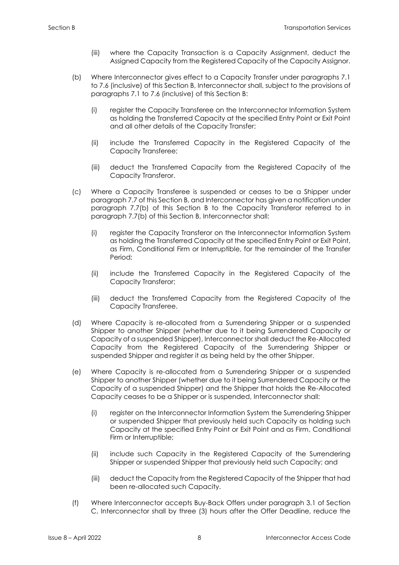- (iii) where the Capacity Transaction is a Capacity Assignment, deduct the Assigned Capacity from the Registered Capacity of the Capacity Assignor.
- (b) Where Interconnector gives effect to a Capacity Transfer under paragraphs 7.1 to 7.6 (inclusive) of this Section B, Interconnector shall, subject to the provisions of paragraphs 7.1 to 7.6 (inclusive) of this Section B:
	- (i) register the Capacity Transferee on the Interconnector Information System as holding the Transferred Capacity at the specified Entry Point or Exit Point and all other details of the Capacity Transfer;
	- (ii) include the Transferred Capacity in the Registered Capacity of the Capacity Transferee;
	- (iii) deduct the Transferred Capacity from the Registered Capacity of the Capacity Transferor.
- (c) Where a Capacity Transferee is suspended or ceases to be a Shipper under paragraph 7.7 of this Section B, and Interconnector has given a notification under paragraph 7.7(b) of this Section B to the Capacity Transferor referred to in paragraph 7.7(b) of this Section B, Interconnector shall:
	- (i) register the Capacity Transferor on the Interconnector Information System as holding the Transferred Capacity at the specified Entry Point or Exit Point, as Firm, Conditional Firm or Interruptible, for the remainder of the Transfer Period;
	- (ii) include the Transferred Capacity in the Registered Capacity of the Capacity Transferor;
	- (iii) deduct the Transferred Capacity from the Registered Capacity of the Capacity Transferee.
- (d) Where Capacity is re-allocated from a Surrendering Shipper or a suspended Shipper to another Shipper (whether due to it being Surrendered Capacity or Capacity of a suspended Shipper), Interconnector shall deduct the Re-Allocated Capacity from the Registered Capacity of the Surrendering Shipper or suspended Shipper and register it as being held by the other Shipper.
- (e) Where Capacity is re-allocated from a Surrendering Shipper or a suspended Shipper to another Shipper (whether due to it being Surrendered Capacity or the Capacity of a suspended Shipper) and the Shipper that holds the Re-Allocated Capacity ceases to be a Shipper or is suspended, Interconnector shall:
	- (i) register on the Interconnector Information System the Surrendering Shipper or suspended Shipper that previously held such Capacity as holding such Capacity at the specified Entry Point or Exit Point and as Firm, Conditional Firm or Interruptible;
	- (ii) include such Capacity in the Registered Capacity of the Surrendering Shipper or suspended Shipper that previously held such Capacity; and
	- (iii) deduct the Capacity from the Registered Capacity of the Shipper that had been re-allocated such Capacity.
- (f) Where Interconnector accepts Buy-Back Offers under paragraph 3.1 of Section C, Interconnector shall by three (3) hours after the Offer Deadline, reduce the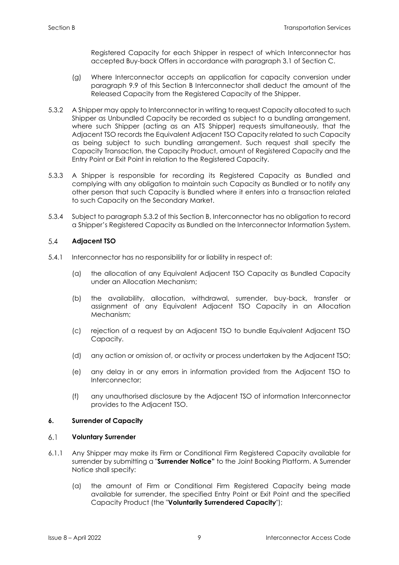Registered Capacity for each Shipper in respect of which Interconnector has accepted Buy-back Offers in accordance with paragraph 3.1 of Section C.

- (g) Where Interconnector accepts an application for capacity conversion under paragraph 9.9 of this Section B Interconnector shall deduct the amount of the Released Capacity from the Registered Capacity of the Shipper.
- 5.3.2 A Shipper may apply to Interconnector in writing to request Capacity allocated to such Shipper as Unbundled Capacity be recorded as subject to a bundling arrangement, where such Shipper (acting as an ATS Shipper) requests simultaneously, that the Adjacent TSO records the Equivalent Adjacent TSO Capacity related to such Capacity as being subject to such bundling arrangement. Such request shall specify the Capacity Transaction, the Capacity Product, amount of Registered Capacity and the Entry Point or Exit Point in relation to the Registered Capacity.
- 5.3.3 A Shipper is responsible for recording its Registered Capacity as Bundled and complying with any obligation to maintain such Capacity as Bundled or to notify any other person that such Capacity is Bundled where it enters into a transaction related to such Capacity on the Secondary Market.
- 5.3.4 Subject to paragraph 5.3.2 of this Section B, Interconnector has no obligation to record a Shipper's Registered Capacity as Bundled on the Interconnector Information System.

#### $5.4$ **Adjacent TSO**

- 5.4.1 Interconnector has no responsibility for or liability in respect of:
	- (a) the allocation of any Equivalent Adjacent TSO Capacity as Bundled Capacity under an Allocation Mechanism;
	- (b) the availability, allocation, withdrawal, surrender, buy-back, transfer or assignment of any Equivalent Adjacent TSO Capacity in an Allocation Mechanism;
	- (c) rejection of a request by an Adjacent TSO to bundle Equivalent Adjacent TSO Capacity.
	- (d) any action or omission of, or activity or process undertaken by the Adjacent TSO;
	- (e) any delay in or any errors in information provided from the Adjacent TSO to Interconnector;
	- (f) any unauthorised disclosure by the Adjacent TSO of information Interconnector provides to the Adjacent TSO.

# <span id="page-13-0"></span>**6. Surrender of Capacity**

#### $6.1$ **Voluntary Surrender**

- 6.1.1 Any Shipper may make its Firm or Conditional Firm Registered Capacity available for surrender by submitting a "**Surrender Notice"** to the Joint Booking Platform. A Surrender Notice shall specify:
	- (a) the amount of Firm or Conditional Firm Registered Capacity being made available for surrender, the specified Entry Point or Exit Point and the specified Capacity Product (the "**Voluntarily Surrendered Capacity**");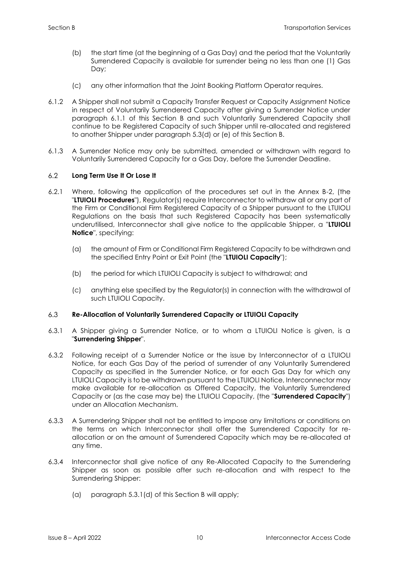- (b) the start time (at the beginning of a Gas Day) and the period that the Voluntarily Surrendered Capacity is available for surrender being no less than one (1) Gas Day;
- (c) any other information that the Joint Booking Platform Operator requires.
- 6.1.2 A Shipper shall not submit a Capacity Transfer Request or Capacity Assignment Notice in respect of Voluntarily Surrendered Capacity after giving a Surrender Notice under paragraph 6.1.1 of this Section B and such Voluntarily Surrendered Capacity shall continue to be Registered Capacity of such Shipper until re-allocated and registered to another Shipper under paragraph 5.3(d) or (e) of this Section B.
- 6.1.3 A Surrender Notice may only be submitted, amended or withdrawn with regard to Voluntarily Surrendered Capacity for a Gas Day, before the Surrender Deadline.

#### $6.2^{\circ}$ **Long Term Use It Or Lose It**

- 6.2.1 Where, following the application of the procedures set out in the Annex B-2, (the "**LTUIOLI Procedures**"), Regulator(s) require Interconnector to withdraw all or any part of the Firm or Conditional Firm Registered Capacity of a Shipper pursuant to the LTUIOLI Regulations on the basis that such Registered Capacity has been systematically underutilised, Interconnector shall give notice to the applicable Shipper, a "**LTUIOLI Notice**", specifying:
	- (a) the amount of Firm or Conditional Firm Registered Capacity to be withdrawn and the specified Entry Point or Exit Point (the "**LTUIOLI Capacity**");
	- (b) the period for which LTUIOLI Capacity is subject to withdrawal; and
	- (c) anything else specified by the Regulator(s) in connection with the withdrawal of such LTUIOLI Capacity.

#### $6.3$ **Re-Allocation of Voluntarily Surrendered Capacity or LTUIOLI Capacity**

- 6.3.1 A Shipper giving a Surrender Notice, or to whom a LTUIOLI Notice is given, is a "**Surrendering Shipper**".
- 6.3.2 Following receipt of a Surrender Notice or the issue by Interconnector of a LTUIOLI Notice, for each Gas Day of the period of surrender of any Voluntarily Surrendered Capacity as specified in the Surrender Notice, or for each Gas Day for which any LTUIOLI Capacity is to be withdrawn pursuant to the LTUIOLI Notice, Interconnector may make available for re-allocation as Offered Capacity, the Voluntarily Surrendered Capacity or (as the case may be) the LTUIOLI Capacity, (the "**Surrendered Capacity**") under an Allocation Mechanism.
- 6.3.3 A Surrendering Shipper shall not be entitled to impose any limitations or conditions on the terms on which Interconnector shall offer the Surrendered Capacity for reallocation or on the amount of Surrendered Capacity which may be re-allocated at any time.
- 6.3.4 Interconnector shall give notice of any Re-Allocated Capacity to the Surrendering Shipper as soon as possible after such re-allocation and with respect to the Surrendering Shipper:
	- (a) paragraph 5.3.1(d) of this Section B will apply;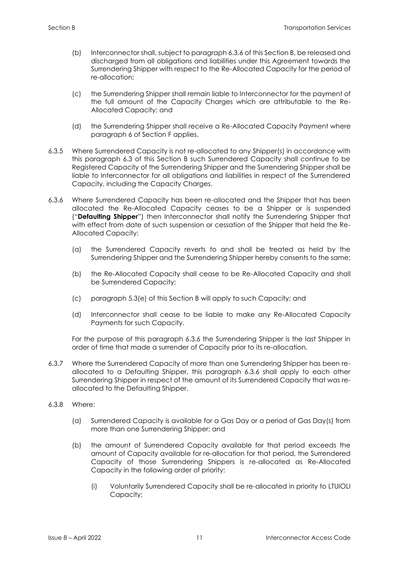- (b) Interconnector shall, subject to paragraph 6.3.6 of this Section B, be released and discharged from all obligations and liabilities under this Agreement towards the Surrendering Shipper with respect to the Re-Allocated Capacity for the period of re-allocation;
- (c) the Surrendering Shipper shall remain liable to Interconnector for the payment of the full amount of the Capacity Charges which are attributable to the Re-Allocated Capacity; and
- (d) the Surrendering Shipper shall receive a Re-Allocated Capacity Payment where paragraph 6 of Section F applies.
- 6.3.5 Where Surrendered Capacity is not re-allocated to any Shipper(s) in accordance with this paragraph 6.3 of this Section B such Surrendered Capacity shall continue to be Registered Capacity of the Surrendering Shipper and the Surrendering Shipper shall be liable to Interconnector for all obligations and liabilities in respect of the Surrendered Capacity, including the Capacity Charges.
- 6.3.6 Where Surrendered Capacity has been re-allocated and the Shipper that has been allocated the Re-Allocated Capacity ceases to be a Shipper or is suspended ("**Defaulting Shipper**") then Interconnector shall notify the Surrendering Shipper that with effect from date of such suspension or cessation of the Shipper that held the Re-Allocated Capacity:
	- (a) the Surrendered Capacity reverts to and shall be treated as held by the Surrendering Shipper and the Surrendering Shipper hereby consents to the same;
	- (b) the Re-Allocated Capacity shall cease to be Re-Allocated Capacity and shall be Surrendered Capacity;
	- (c) paragraph 5.3(e) of this Section B will apply to such Capacity; and
	- (d) Interconnector shall cease to be liable to make any Re-Allocated Capacity Payments for such Capacity.

For the purpose of this paragraph 6.3.6 the Surrendering Shipper is the last Shipper in order of time that made a surrender of Capacity prior to its re-allocation.

- 6.3.7 Where the Surrendered Capacity of more than one Surrendering Shipper has been reallocated to a Defaulting Shipper, this paragraph 6.3.6 shall apply to each other Surrendering Shipper in respect of the amount of its Surrendered Capacity that was reallocated to the Defaulting Shipper.
- 6.3.8 Where:
	- (a) Surrendered Capacity is available for a Gas Day or a period of Gas Day(s) from more than one Surrendering Shipper; and
	- (b) the amount of Surrendered Capacity available for that period exceeds the amount of Capacity available for re-allocation for that period, the Surrendered Capacity of those Surrendering Shippers is re-allocated as Re-Allocated Capacity in the following order of priority:
		- (i) Voluntarily Surrendered Capacity shall be re-allocated in priority to LTUIOLI Capacity;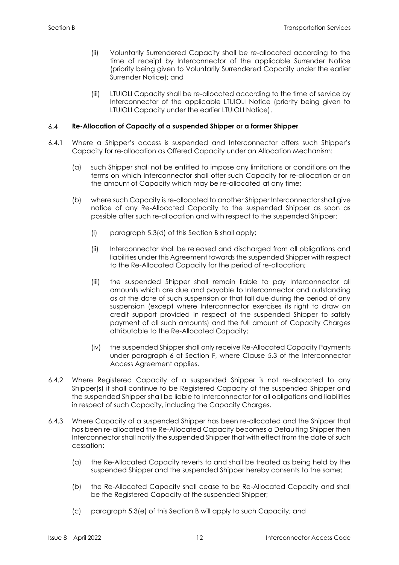- (ii) Voluntarily Surrendered Capacity shall be re-allocated according to the time of receipt by Interconnector of the applicable Surrender Notice (priority being given to Voluntarily Surrendered Capacity under the earlier Surrender Notice); and
- (iii) LTUIOLI Capacity shall be re-allocated according to the time of service by Interconnector of the applicable LTUIOLI Notice (priority being given to LTUIOLI Capacity under the earlier LTUIOLI Notice).

#### $6.4$ **Re-Allocation of Capacity of a suspended Shipper or a former Shipper**

- 6.4.1 Where a Shipper's access is suspended and Interconnector offers such Shipper's Capacity for re-allocation as Offered Capacity under an Allocation Mechanism:
	- (a) such Shipper shall not be entitled to impose any limitations or conditions on the terms on which Interconnector shall offer such Capacity for re-allocation or on the amount of Capacity which may be re-allocated at any time;
	- (b) where such Capacity is re-allocated to another Shipper Interconnector shall give notice of any Re-Allocated Capacity to the suspended Shipper as soon as possible after such re-allocation and with respect to the suspended Shipper:
		- (i) paragraph 5.3(d) of this Section B shall apply;
		- (ii) Interconnector shall be released and discharged from all obligations and liabilities under this Agreement towards the suspended Shipper with respect to the Re-Allocated Capacity for the period of re-allocation;
		- (iii) the suspended Shipper shall remain liable to pay Interconnector all amounts which are due and payable to Interconnector and outstanding as at the date of such suspension or that fall due during the period of any suspension (except where Interconnector exercises its right to draw on credit support provided in respect of the suspended Shipper to satisfy payment of all such amounts) and the full amount of Capacity Charges attributable to the Re-Allocated Capacity;
		- (iv) the suspended Shipper shall only receive Re-Allocated Capacity Payments under paragraph 6 of Section F, where Clause 5.3 of the Interconnector Access Agreement applies.
- 6.4.2 Where Registered Capacity of a suspended Shipper is not re-allocated to any Shipper(s) it shall continue to be Registered Capacity of the suspended Shipper and the suspended Shipper shall be liable to Interconnector for all obligations and liabilities in respect of such Capacity, including the Capacity Charges.
- 6.4.3 Where Capacity of a suspended Shipper has been re-allocated and the Shipper that has been re-allocated the Re-Allocated Capacity becomes a Defaulting Shipper then Interconnector shall notify the suspended Shipper that with effect from the date of such cessation:
	- (a) the Re-Allocated Capacity reverts to and shall be treated as being held by the suspended Shipper and the suspended Shipper hereby consents to the same;
	- (b) the Re-Allocated Capacity shall cease to be Re-Allocated Capacity and shall be the Registered Capacity of the suspended Shipper;
	- (c) paragraph 5.3(e) of this Section B will apply to such Capacity; and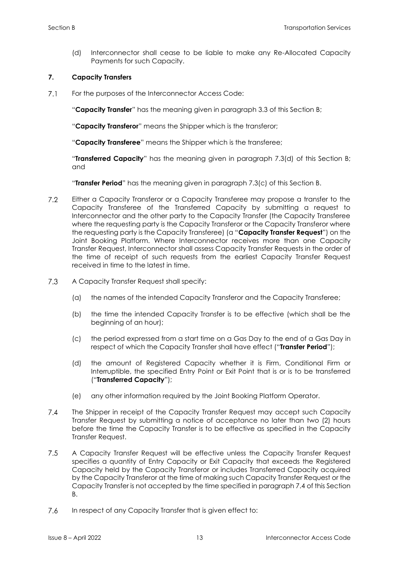(d) Interconnector shall cease to be liable to make any Re-Allocated Capacity Payments for such Capacity.

# <span id="page-17-0"></span>**7. Capacity Transfers**

 $7.1$ For the purposes of the Interconnector Access Code:

"**Capacity Transfer**" has the meaning given in paragraph 3.3 of this Section B;

"**Capacity Transferor**" means the Shipper which is the transferor;

"**Capacity Transferee**" means the Shipper which is the transferee;

"**Transferred Capacity**" has the meaning given in paragraph 7.3(d) of this Section B; and

"**Transfer Period**" has the meaning given in paragraph 7.3(c) of this Section B.

- $7.2$ Either a Capacity Transferor or a Capacity Transferee may propose a transfer to the Capacity Transferee of the Transferred Capacity by submitting a request to Interconnector and the other party to the Capacity Transfer (the Capacity Transferee where the requesting party is the Capacity Transferor or the Capacity Transferor where the requesting party is the Capacity Transferee) (a "**Capacity Transfer Request**") on the Joint Booking Platform. Where Interconnector receives more than one Capacity Transfer Request, Interconnector shall assess Capacity Transfer Requests in the order of the time of receipt of such requests from the earliest Capacity Transfer Request received in time to the latest in time.
- $7.3$ A Capacity Transfer Request shall specify:
	- (a) the names of the intended Capacity Transferor and the Capacity Transferee;
	- (b) the time the intended Capacity Transfer is to be effective (which shall be the beginning of an hour);
	- (c) the period expressed from a start time on a Gas Day to the end of a Gas Day in respect of which the Capacity Transfer shall have effect ("**Transfer Period**");
	- (d) the amount of Registered Capacity whether it is Firm, Conditional Firm or Interruptible, the specified Entry Point or Exit Point that is or is to be transferred ("**Transferred Capacity**");
	- (e) any other information required by the Joint Booking Platform Operator.
- $7.4$ The Shipper in receipt of the Capacity Transfer Request may accept such Capacity Transfer Request by submitting a notice of acceptance no later than two (2) hours before the time the Capacity Transfer is to be effective as specified in the Capacity Transfer Request.
- $7.5$ A Capacity Transfer Request will be effective unless the Capacity Transfer Request specifies a quantity of Entry Capacity or Exit Capacity that exceeds the Registered Capacity held by the Capacity Transferor or includes Transferred Capacity acquired by the Capacity Transferor at the time of making such Capacity Transfer Request or the Capacity Transfer is not accepted by the time specified in paragraph 7.4 of this Section B.
- 7.6 In respect of any Capacity Transfer that is given effect to: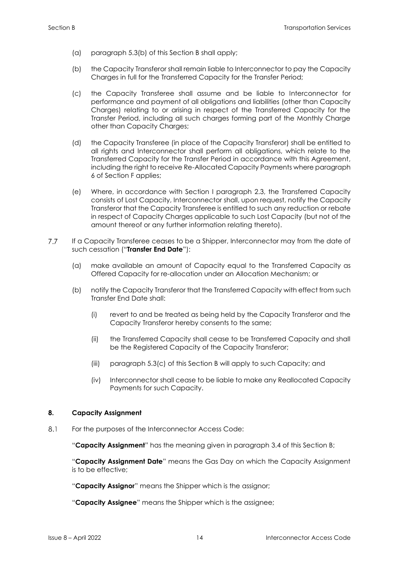- (a) paragraph 5.3(b) of this Section B shall apply;
- (b) the Capacity Transferor shall remain liable to Interconnector to pay the Capacity Charges in full for the Transferred Capacity for the Transfer Period;
- (c) the Capacity Transferee shall assume and be liable to Interconnector for performance and payment of all obligations and liabilities (other than Capacity Charges) relating to or arising in respect of the Transferred Capacity for the Transfer Period, including all such charges forming part of the Monthly Charge other than Capacity Charges;
- (d) the Capacity Transferee (in place of the Capacity Transferor) shall be entitled to all rights and Interconnector shall perform all obligations, which relate to the Transferred Capacity for the Transfer Period in accordance with this Agreement, including the right to receive Re-Allocated Capacity Payments where paragraph 6 of Section F applies;
- (e) Where, in accordance with Section I paragraph 2.3, the Transferred Capacity consists of Lost Capacity, Interconnector shall, upon request, notify the Capacity Transferor that the Capacity Transferee is entitled to such any reduction or rebate in respect of Capacity Charges applicable to such Lost Capacity (but not of the amount thereof or any further information relating thereto).
- $7.7$ If a Capacity Transferee ceases to be a Shipper, Interconnector may from the date of such cessation ("**Transfer End Date**"):
	- (a) make available an amount of Capacity equal to the Transferred Capacity as Offered Capacity for re-allocation under an Allocation Mechanism; or
	- (b) notify the Capacity Transferor that the Transferred Capacity with effect from such Transfer End Date shall:
		- (i) revert to and be treated as being held by the Capacity Transferor and the Capacity Transferor hereby consents to the same;
		- (ii) the Transferred Capacity shall cease to be Transferred Capacity and shall be the Registered Capacity of the Capacity Transferor;
		- (iii) paragraph 5.3(c) of this Section B will apply to such Capacity; and
		- (iv) Interconnector shall cease to be liable to make any Reallocated Capacity Payments for such Capacity.

# <span id="page-18-0"></span>**8. Capacity Assignment**

 $8.1$ For the purposes of the Interconnector Access Code:

"**Capacity Assignment**" has the meaning given in paragraph 3.4 of this Section B;

"**Capacity Assignment Date**" means the Gas Day on which the Capacity Assignment is to be effective;

"**Capacity Assignor**" means the Shipper which is the assignor;

"**Capacity Assignee**" means the Shipper which is the assignee;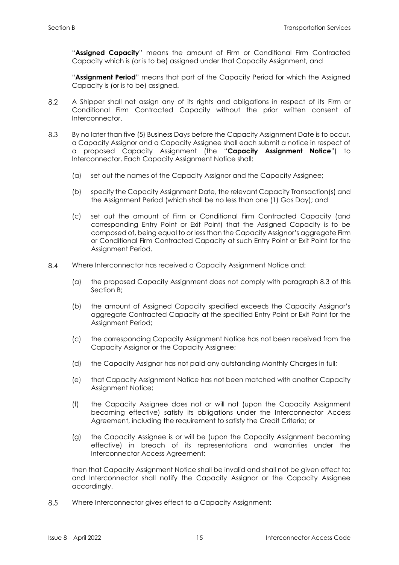"**Assigned Capacity**" means the amount of Firm or Conditional Firm Contracted Capacity which is (or is to be) assigned under that Capacity Assignment, and

"**Assignment Period**" means that part of the Capacity Period for which the Assigned Capacity is (or is to be) assigned.

- 8.2 A Shipper shall not assign any of its rights and obligations in respect of its Firm or Conditional Firm Contracted Capacity without the prior written consent of Interconnector.
- 8.3 By no later than five (5) Business Days before the Capacity Assignment Date is to occur, a Capacity Assignor and a Capacity Assignee shall each submit a notice in respect of a proposed Capacity Assignment (the "**Capacity Assignment Notice**") to Interconnector. Each Capacity Assignment Notice shall:
	- (a) set out the names of the Capacity Assignor and the Capacity Assignee;
	- (b) specify the Capacity Assignment Date, the relevant Capacity Transaction(s) and the Assignment Period (which shall be no less than one (1) Gas Day); and
	- (c) set out the amount of Firm or Conditional Firm Contracted Capacity (and corresponding Entry Point or Exit Point) that the Assigned Capacity is to be composed of, being equal to or less than the Capacity Assignor's aggregate Firm or Conditional Firm Contracted Capacity at such Entry Point or Exit Point for the Assignment Period.
- 8.4 Where Interconnector has received a Capacity Assignment Notice and:
	- (a) the proposed Capacity Assignment does not comply with paragraph 8.3 of this Section B;
	- (b) the amount of Assigned Capacity specified exceeds the Capacity Assignor's aggregate Contracted Capacity at the specified Entry Point or Exit Point for the Assignment Period;
	- (c) the corresponding Capacity Assignment Notice has not been received from the Capacity Assignor or the Capacity Assignee;
	- (d) the Capacity Assignor has not paid any outstanding Monthly Charges in full;
	- (e) that Capacity Assignment Notice has not been matched with another Capacity Assignment Notice;
	- (f) the Capacity Assignee does not or will not (upon the Capacity Assignment becoming effective) satisfy its obligations under the Interconnector Access Agreement, including the requirement to satisfy the Credit Criteria; or
	- (g) the Capacity Assignee is or will be (upon the Capacity Assignment becoming effective) in breach of its representations and warranties under the Interconnector Access Agreement;

then that Capacity Assignment Notice shall be invalid and shall not be given effect to; and Interconnector shall notify the Capacity Assignor or the Capacity Assignee accordingly.

8.5 Where Interconnector gives effect to a Capacity Assignment: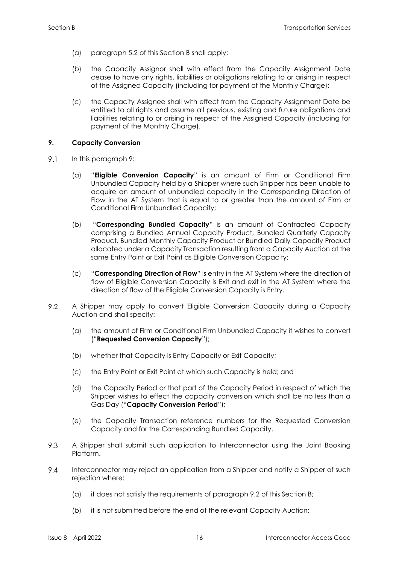- (a) paragraph 5.2 of this Section B shall apply;
- (b) the Capacity Assignor shall with effect from the Capacity Assignment Date cease to have any rights, liabilities or obligations relating to or arising in respect of the Assigned Capacity (including for payment of the Monthly Charge);
- (c) the Capacity Assignee shall with effect from the Capacity Assignment Date be entitled to all rights and assume all previous, existing and future obligations and liabilities relating to or arising in respect of the Assigned Capacity (including for payment of the Monthly Charge).

# <span id="page-20-0"></span>**9. Capacity Conversion**

- $9.1$ In this paragraph 9:
	- (a) "**Eligible Conversion Capacity**" is an amount of Firm or Conditional Firm Unbundled Capacity held by a Shipper where such Shipper has been unable to acquire an amount of unbundled capacity in the Corresponding Direction of Flow in the AT System that is equal to or greater than the amount of Firm or Conditional Firm Unbundled Capacity;
	- (b) "**Corresponding Bundled Capacity**" is an amount of Contracted Capacity comprising a Bundled Annual Capacity Product, Bundled Quarterly Capacity Product, Bundled Monthly Capacity Product or Bundled Daily Capacity Product allocated under a Capacity Transaction resulting from a Capacity Auction at the same Entry Point or Exit Point as Eligible Conversion Capacity;
	- (c) "**Corresponding Direction of Flow**" is entry in the AT System where the direction of flow of Eligible Conversion Capacity is Exit and exit in the AT System where the direction of flow of the Eligible Conversion Capacity is Entry.
- 9.2 A Shipper may apply to convert Eligible Conversion Capacity during a Capacity Auction and shall specify:
	- (a) the amount of Firm or Conditional Firm Unbundled Capacity it wishes to convert ("**Requested Conversion Capacity**");
	- (b) whether that Capacity is Entry Capacity or Exit Capacity;
	- (c) the Entry Point or Exit Point at which such Capacity is held; and
	- (d) the Capacity Period or that part of the Capacity Period in respect of which the Shipper wishes to effect the capacity conversion which shall be no less than a Gas Day ("**Capacity Conversion Period**");
	- (e) the Capacity Transaction reference numbers for the Requested Conversion Capacity and for the Corresponding Bundled Capacity.
- 9.3 A Shipper shall submit such application to Interconnector using the Joint Booking Platform.
- $9.4$ Interconnector may reject an application from a Shipper and notify a Shipper of such rejection where:
	- (a) it does not satisfy the requirements of paragraph 9.2 of this Section B;
	- (b) it is not submitted before the end of the relevant Capacity Auction;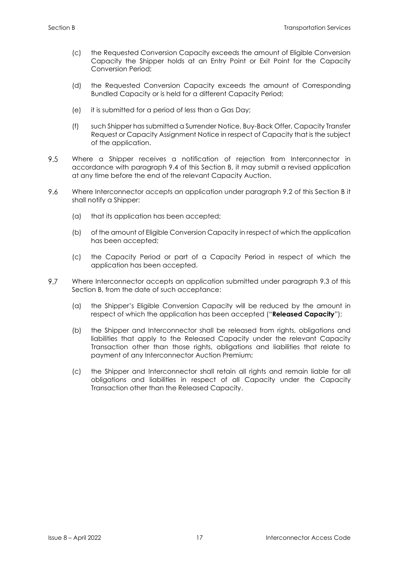- (c) the Requested Conversion Capacity exceeds the amount of Eligible Conversion Capacity the Shipper holds at an Entry Point or Exit Point for the Capacity Conversion Period;
- (d) the Requested Conversion Capacity exceeds the amount of Corresponding Bundled Capacity or is held for a different Capacity Period;
- (e) it is submitted for a period of less than a Gas Day;
- (f) such Shipper has submitted a Surrender Notice, Buy-Back Offer, Capacity Transfer Request or Capacity Assignment Notice in respect of Capacity that is the subject of the application.
- 9.5 Where a Shipper receives a notification of rejection from Interconnector in accordance with paragraph 9.4 of this Section B, it may submit a revised application at any time before the end of the relevant Capacity Auction.
- 9.6 Where Interconnector accepts an application under paragraph 9.2 of this Section B it shall notify a Shipper:
	- (a) that its application has been accepted;
	- (b) of the amount of Eligible Conversion Capacity in respect of which the application has been accepted;
	- (c) the Capacity Period or part of a Capacity Period in respect of which the application has been accepted.
- 9.7 Where Interconnector accepts an application submitted under paragraph 9.3 of this Section B, from the date of such acceptance:
	- (a) the Shipper's Eligible Conversion Capacity will be reduced by the amount in respect of which the application has been accepted ("**Released Capacity**");
	- (b) the Shipper and Interconnector shall be released from rights, obligations and liabilities that apply to the Released Capacity under the relevant Capacity Transaction other than those rights, obligations and liabilities that relate to payment of any Interconnector Auction Premium;
	- (c) the Shipper and Interconnector shall retain all rights and remain liable for all obligations and liabilities in respect of all Capacity under the Capacity Transaction other than the Released Capacity.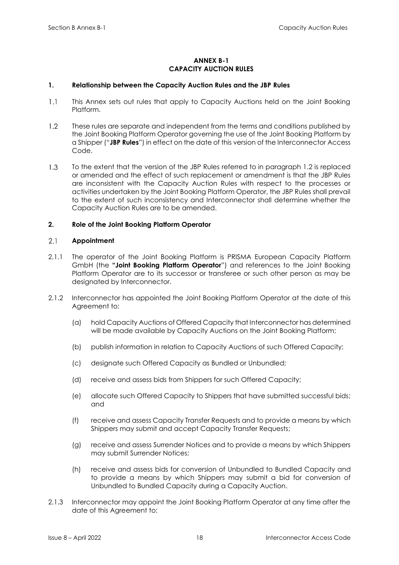# **ANNEX B-1 CAPACITY AUCTION RULES**

# <span id="page-22-1"></span><span id="page-22-0"></span>**1. Relationship between the Capacity Auction Rules and the JBP Rules**

- $1.1$ This Annex sets out rules that apply to Capacity Auctions held on the Joint Booking Platform.
- $1.2<sup>°</sup>$ These rules are separate and independent from the terms and conditions published by the Joint Booking Platform Operator governing the use of the Joint Booking Platform by a Shipper ("**JBP Rules**") in effect on the date of this version of the Interconnector Access Code.
- $1.3$ To the extent that the version of the JBP Rules referred to in paragraph 1.2 is replaced or amended and the effect of such replacement or amendment is that the JBP Rules are inconsistent with the Capacity Auction Rules with respect to the processes or activities undertaken by the Joint Booking Platform Operator, the JBP Rules shall prevail to the extent of such inconsistency and Interconnector shall determine whether the Capacity Auction Rules are to be amended.

# <span id="page-22-2"></span>**2. Role of the Joint Booking Platform Operator**

#### $2.1$ **Appointment**

- 2.1.1 The operator of the Joint Booking Platform is PRISMA European Capacity Platform GmbH (the **"Joint Booking Platform Operator**") and references to the Joint Booking Platform Operator are to its successor or transferee or such other person as may be designated by Interconnector.
- 2.1.2 Interconnector has appointed the Joint Booking Platform Operator at the date of this Agreement to:
	- (a) hold Capacity Auctions of Offered Capacity that Interconnector has determined will be made available by Capacity Auctions on the Joint Booking Platform;
	- (b) publish information in relation to Capacity Auctions of such Offered Capacity;
	- (c) designate such Offered Capacity as Bundled or Unbundled;
	- (d) receive and assess bids from Shippers for such Offered Capacity;
	- (e) allocate such Offered Capacity to Shippers that have submitted successful bids; and
	- (f) receive and assess Capacity Transfer Requests and to provide a means by which Shippers may submit and accept Capacity Transfer Requests;
	- (g) receive and assess Surrender Notices and to provide a means by which Shippers may submit Surrender Notices;
	- (h) receive and assess bids for conversion of Unbundled to Bundled Capacity and to provide a means by which Shippers may submit a bid for conversion of Unbundled to Bundled Capacity during a Capacity Auction.
- 2.1.3 Interconnector may appoint the Joint Booking Platform Operator at any time after the date of this Agreement to: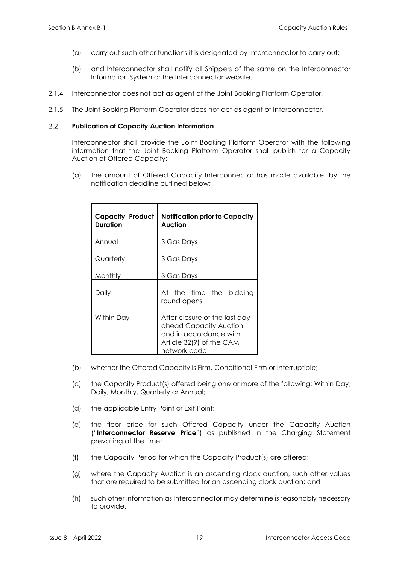- (a) carry out such other functions it is designated by Interconnector to carry out;
- (b) and Interconnector shall notify all Shippers of the same on the Interconnector Information System or the Interconnector website.
- 2.1.4 Interconnector does not act as agent of the Joint Booking Platform Operator.
- 2.1.5 The Joint Booking Platform Operator does not act as agent of Interconnector.

#### $2.2$ **Publication of Capacity Auction Information**

Interconnector shall provide the Joint Booking Platform Operator with the following information that the Joint Booking Platform Operator shall publish for a Capacity Auction of Offered Capacity:

(a) the amount of Offered Capacity Interconnector has made available, by the notification deadline outlined below;

| Capacity Product<br><b>Duration</b> | <b>Notification prior to Capacity</b><br>Auction                                                                               |  |  |
|-------------------------------------|--------------------------------------------------------------------------------------------------------------------------------|--|--|
| Annual                              | 3 Gas Days                                                                                                                     |  |  |
| Quarterly                           | 3 Gas Days                                                                                                                     |  |  |
| Monthly                             | 3 Gas Days                                                                                                                     |  |  |
| Daily                               | At the time the bidding<br>round opens                                                                                         |  |  |
| Within Day                          | After closure of the last day-<br>ahead Capacity Auction<br>and in accordance with<br>Article 32(9) of the CAM<br>network code |  |  |

- (b) whether the Offered Capacity is Firm, Conditional Firm or Interruptible;
- (c) the Capacity Product(s) offered being one or more of the following: Within Day, Daily, Monthly, Quarterly or Annual;
- (d) the applicable Entry Point or Exit Point;
- (e) the floor price for such Offered Capacity under the Capacity Auction ("**Interconnector Reserve Price**") as published in the Charging Statement prevailing at the time;
- (f) the Capacity Period for which the Capacity Product(s) are offered;
- (g) where the Capacity Auction is an ascending clock auction, such other values that are required to be submitted for an ascending clock auction; and
- (h) such other information as Interconnector may determine is reasonably necessary to provide.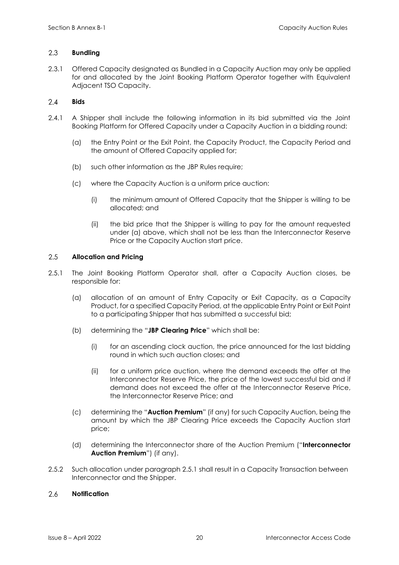#### 2.3 **Bundling**

2.3.1 Offered Capacity designated as Bundled in a Capacity Auction may only be applied for and allocated by the Joint Booking Platform Operator together with Equivalent Adjacent TSO Capacity.

#### $2.4$ **Bids**

- 2.4.1 A Shipper shall include the following information in its bid submitted via the Joint Booking Platform for Offered Capacity under a Capacity Auction in a bidding round:
	- (a) the Entry Point or the Exit Point, the Capacity Product, the Capacity Period and the amount of Offered Capacity applied for;
	- (b) such other information as the JBP Rules require;
	- (c) where the Capacity Auction is a uniform price auction:
		- (i) the minimum amount of Offered Capacity that the Shipper is willing to be allocated; and
		- (ii) the bid price that the Shipper is willing to pay for the amount requested under (a) above, which shall not be less than the Interconnector Reserve Price or the Capacity Auction start price.

#### 2.5 **Allocation and Pricing**

- 2.5.1 The Joint Booking Platform Operator shall, after a Capacity Auction closes, be responsible for:
	- (a) allocation of an amount of Entry Capacity or Exit Capacity, as a Capacity Product, for a specified Capacity Period, at the applicable Entry Point or Exit Point to a participating Shipper that has submitted a successful bid;
	- (b) determining the "**JBP Clearing Price**" which shall be:
		- (i) for an ascending clock auction, the price announced for the last bidding round in which such auction closes; and
		- (ii) for a uniform price auction, where the demand exceeds the offer at the Interconnector Reserve Price, the price of the lowest successful bid and if demand does not exceed the offer at the Interconnector Reserve Price, the Interconnector Reserve Price; and
	- (c) determining the "**Auction Premium**" (if any) for such Capacity Auction, being the amount by which the JBP Clearing Price exceeds the Capacity Auction start price;
	- (d) determining the Interconnector share of the Auction Premium ("**Interconnector Auction Premium**") (if any).
- 2.5.2 Such allocation under paragraph 2.5.1 shall result in a Capacity Transaction between Interconnector and the Shipper.

#### $2.6$ **Notification**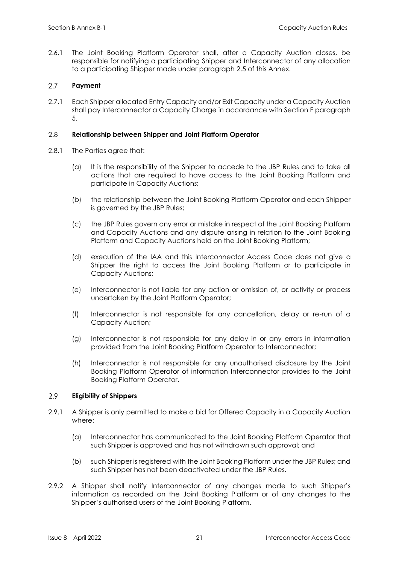2.6.1 The Joint Booking Platform Operator shall, after a Capacity Auction closes, be responsible for notifying a participating Shipper and Interconnector of any allocation to a participating Shipper made under paragraph 2.5 of this Annex.

#### $2.7$ **Payment**

2.7.1 Each Shipper allocated Entry Capacity and/or Exit Capacity under a Capacity Auction shall pay Interconnector a Capacity Charge in accordance with Section F paragraph 5.

#### 2.8 **Relationship between Shipper and Joint Platform Operator**

- 2.8.1 The Parties agree that:
	- (a) It is the responsibility of the Shipper to accede to the JBP Rules and to take all actions that are required to have access to the Joint Booking Platform and participate in Capacity Auctions;
	- (b) the relationship between the Joint Booking Platform Operator and each Shipper is governed by the JBP Rules;
	- (c) the JBP Rules govern any error or mistake in respect of the Joint Booking Platform and Capacity Auctions and any dispute arising in relation to the Joint Booking Platform and Capacity Auctions held on the Joint Booking Platform;
	- (d) execution of the IAA and this Interconnector Access Code does not give a Shipper the right to access the Joint Booking Platform or to participate in Capacity Auctions;
	- (e) Interconnector is not liable for any action or omission of, or activity or process undertaken by the Joint Platform Operator;
	- (f) Interconnector is not responsible for any cancellation, delay or re-run of a Capacity Auction;
	- (g) Interconnector is not responsible for any delay in or any errors in information provided from the Joint Booking Platform Operator to Interconnector;
	- (h) Interconnector is not responsible for any unauthorised disclosure by the Joint Booking Platform Operator of information Interconnector provides to the Joint Booking Platform Operator.

#### 2.9 **Eligibility of Shippers**

- 2.9.1 A Shipper is only permitted to make a bid for Offered Capacity in a Capacity Auction where:
	- (a) Interconnector has communicated to the Joint Booking Platform Operator that such Shipper is approved and has not withdrawn such approval; and
	- (b) such Shipper is registered with the Joint Booking Platform under the JBP Rules; and such Shipper has not been deactivated under the JBP Rules.
- 2.9.2 A Shipper shall notify Interconnector of any changes made to such Shipper's information as recorded on the Joint Booking Platform or of any changes to the Shipper's authorised users of the Joint Booking Platform.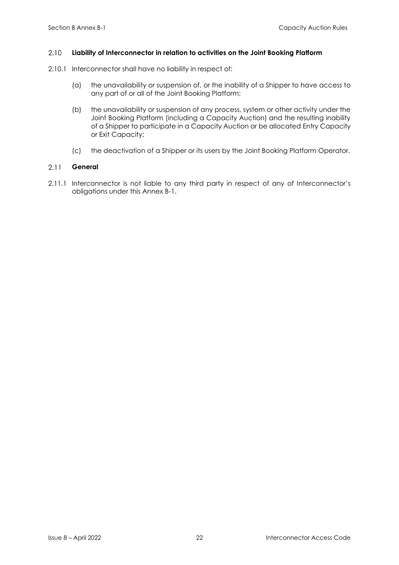#### 2.10 **Liability of Interconnector in relation to activities on the Joint Booking Platform**

- 2.10.1 Interconnector shall have no liability in respect of:
	- (a) the unavailability or suspension of, or the inability of a Shipper to have access to any part of or all of the Joint Booking Platform;
	- (b) the unavailability or suspension of any process, system or other activity under the Joint Booking Platform (including a Capacity Auction) and the resulting inability of a Shipper to participate in a Capacity Auction or be allocated Entry Capacity or Exit Capacity;
	- (c) the deactivation of a Shipper or its users by the Joint Booking Platform Operator.

#### $2.11$ **General**

2.11.1 Interconnector is not liable to any third party in respect of any of Interconnector's obligations under this Annex B-1.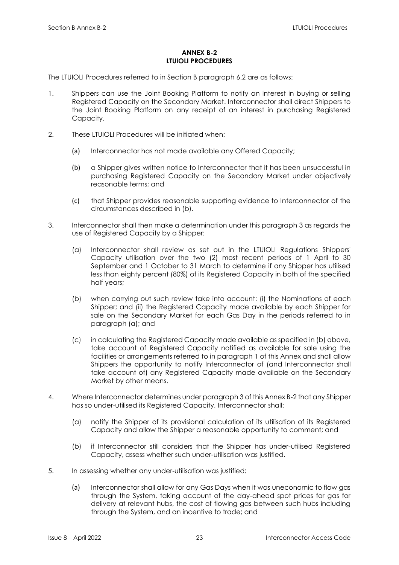# **ANNEX B-2 LTUIOLI PROCEDURES**

<span id="page-27-0"></span>The LTUIOLI Procedures referred to in Section B paragraph 6.2 are as follows:

- 1. Shippers can use the Joint Booking Platform to notify an interest in buying or selling Registered Capacity on the Secondary Market. Interconnector shall direct Shippers to the Joint Booking Platform on any receipt of an interest in purchasing Registered Capacity.
- 2. These LTUIOLI Procedures will be initiated when:
	- (a) Interconnector has not made available any Offered Capacity;
	- (b) a Shipper gives written notice to Interconnector that it has been unsuccessful in purchasing Registered Capacity on the Secondary Market under objectively reasonable terms; and
	- (c) that Shipper provides reasonable supporting evidence to Interconnector of the circumstances described in (b).
- 3. Interconnector shall then make a determination under this paragraph 3 as regards the use of Registered Capacity by a Shipper:
	- (a) Interconnector shall review as set out in the LTUIOLI Regulations Shippers' Capacity utilisation over the two (2) most recent periods of 1 April to 30 September and 1 October to 31 March to determine if any Shipper has utilised less than eighty percent (80%) of its Registered Capacity in both of the specified half years;
	- (b) when carrying out such review take into account: (i) the Nominations of each Shipper; and (ii) the Registered Capacity made available by each Shipper for sale on the Secondary Market for each Gas Day in the periods referred to in paragraph (a); and
	- (c) in calculating the Registered Capacity made available as specified in (b) above, take account of Registered Capacity notified as available for sale using the facilities or arrangements referred to in paragraph 1 of this Annex and shall allow Shippers the opportunity to notify Interconnector of (and Interconnector shall take account of) any Registered Capacity made available on the Secondary Market by other means.
- 4. Where Interconnector determines under paragraph 3 of this Annex B-2 that any Shipper has so under-utilised its Registered Capacity, Interconnector shall:
	- (a) notify the Shipper of its provisional calculation of its utilisation of its Registered Capacity and allow the Shipper a reasonable opportunity to comment; and
	- (b) if Interconnector still considers that the Shipper has under-utilised Registered Capacity, assess whether such under-utilisation was justified.
- 5. In assessing whether any under-utilisation was justified:
	- (a) Interconnector shall allow for any Gas Days when it was uneconomic to flow gas through the System, taking account of the day-ahead spot prices for gas for delivery at relevant hubs, the cost of flowing gas between such hubs including through the System, and an incentive to trade; and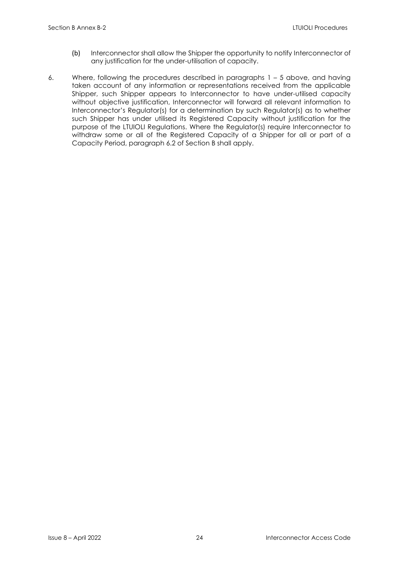- (b) Interconnector shall allow the Shipper the opportunity to notify Interconnector of any justification for the under-utilisation of capacity.
- 6. Where, following the procedures described in paragraphs 1 5 above, and having taken account of any information or representations received from the applicable Shipper, such Shipper appears to Interconnector to have under-utilised capacity without objective justification, Interconnector will forward all relevant information to Interconnector's Regulator(s) for a determination by such Regulator(s) as to whether such Shipper has under utilised its Registered Capacity without justification for the purpose of the LTUIOLI Regulations. Where the Regulator(s) require Interconnector to withdraw some or all of the Registered Capacity of a Shipper for all or part of a Capacity Period, paragraph 6.2 of Section B shall apply.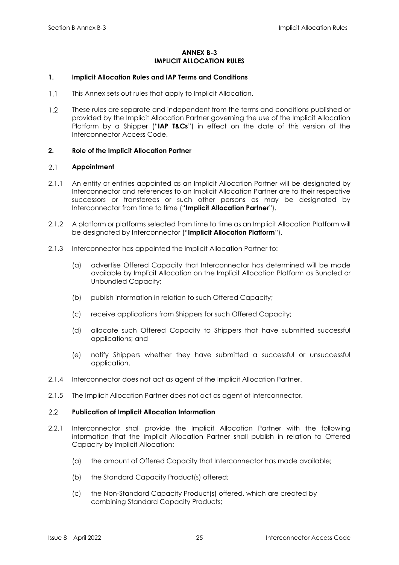# **ANNEX B-3 IMPLICIT ALLOCATION RULES**

# <span id="page-29-1"></span><span id="page-29-0"></span>**1. Implicit Allocation Rules and IAP Terms and Conditions**

- $1.1$ This Annex sets out rules that apply to Implicit Allocation.
- $1.2$ These rules are separate and independent from the terms and conditions published or provided by the Implicit Allocation Partner governing the use of the Implicit Allocation Platform by a Shipper ("**IAP T&Cs**") in effect on the date of this version of the Interconnector Access Code.

# <span id="page-29-2"></span>**2. Role of the Implicit Allocation Partner**

#### $2.1$ **Appointment**

- 2.1.1 An entity or entities appointed as an Implicit Allocation Partner will be designated by Interconnector and references to an Implicit Allocation Partner are to their respective successors or transferees or such other persons as may be designated by Interconnector from time to time ("**Implicit Allocation Partner**").
- 2.1.2 A platform or platforms selected from time to time as an Implicit Allocation Platform will be designated by Interconnector ("**Implicit Allocation Platform**").
- 2.1.3 Interconnector has appointed the Implicit Allocation Partner to:
	- (a) advertise Offered Capacity that Interconnector has determined will be made available by Implicit Allocation on the Implicit Allocation Platform as Bundled or Unbundled Capacity;
	- (b) publish information in relation to such Offered Capacity;
	- (c) receive applications from Shippers for such Offered Capacity;
	- (d) allocate such Offered Capacity to Shippers that have submitted successful applications; and
	- (e) notify Shippers whether they have submitted a successful or unsuccessful application.
- 2.1.4 Interconnector does not act as agent of the Implicit Allocation Partner.
- 2.1.5 The Implicit Allocation Partner does not act as agent of Interconnector.

#### $2.2$ **Publication of Implicit Allocation Information**

- 2.2.1 Interconnector shall provide the Implicit Allocation Partner with the following information that the Implicit Allocation Partner shall publish in relation to Offered Capacity by Implicit Allocation:
	- (a) the amount of Offered Capacity that Interconnector has made available;
	- (b) the Standard Capacity Product(s) offered;
	- (c) the Non-Standard Capacity Product(s) offered, which are created by combining Standard Capacity Products;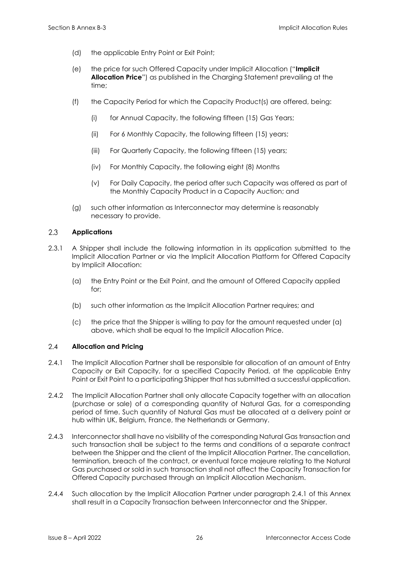- (d) the applicable Entry Point or Exit Point;
- (e) the price for such Offered Capacity under Implicit Allocation ("**Implicit Allocation Price**") as published in the Charging Statement prevailing at the time;
- (f) the Capacity Period for which the Capacity Product(s) are offered, being:
	- (i) for Annual Capacity, the following fifteen (15) Gas Years;
	- (ii) For 6 Monthly Capacity, the following fifteen (15) years;
	- (iii) For Quarterly Capacity, the following fifteen (15) years;
	- (iv) For Monthly Capacity, the following eight (8) Months
	- (v) For Daily Capacity, the period after such Capacity was offered as part of the Monthly Capacity Product in a Capacity Auction; and
- (g) such other information as Interconnector may determine is reasonably necessary to provide.

#### 2.3 **Applications**

- 2.3.1 A Shipper shall include the following information in its application submitted to the Implicit Allocation Partner or via the Implicit Allocation Platform for Offered Capacity by Implicit Allocation:
	- (a) the Entry Point or the Exit Point, and the amount of Offered Capacity applied for;
	- (b) such other information as the Implicit Allocation Partner requires; and
	- (c) the price that the Shipper is willing to pay for the amount requested under (a) above, which shall be equal to the Implicit Allocation Price.

#### $2.4$ **Allocation and Pricing**

- <span id="page-30-0"></span>2.4.1 The Implicit Allocation Partner shall be responsible for allocation of an amount of Entry Capacity or Exit Capacity, for a specified Capacity Period, at the applicable Entry Point or Exit Point to a participating Shipper that has submitted a successful application.
- 2.4.2 The Implicit Allocation Partner shall only allocate Capacity together with an allocation (purchase or sale) of a corresponding quantity of Natural Gas, for a corresponding period of time. Such quantity of Natural Gas must be allocated at a delivery point or hub within UK, Belgium, France, the Netherlands or Germany.
- 2.4.3 Interconnector shall have no visibility of the corresponding Natural Gas transaction and such transaction shall be subject to the terms and conditions of a separate contract between the Shipper and the client of the Implicit Allocation Partner. The cancellation, termination, breach of the contract, or eventual force majeure relating to the Natural Gas purchased or sold in such transaction shall not affect the Capacity Transaction for Offered Capacity purchased through an Implicit Allocation Mechanism.
- 2.4.4 Such allocation by the Implicit Allocation Partner under paragraph [2.4.1](#page-30-0) of this Annex shall result in a Capacity Transaction between Interconnector and the Shipper.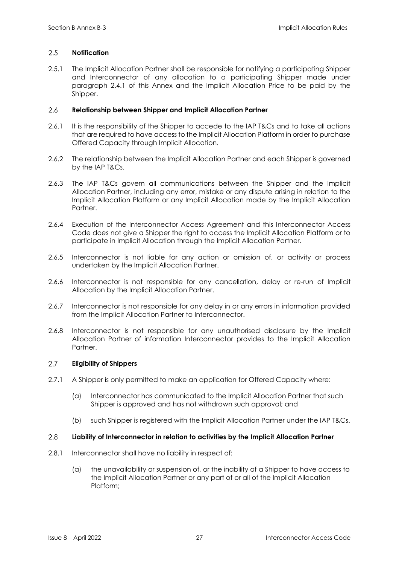#### 2.5 **Notification**

2.5.1 The Implicit Allocation Partner shall be responsible for notifying a participating Shipper and Interconnector of any allocation to a participating Shipper made under paragraph 2.4.1 of this Annex and the Implicit Allocation Price to be paid by the Shipper.

#### $2.6$ **Relationship between Shipper and Implicit Allocation Partner**

- 2.6.1 It is the responsibility of the Shipper to accede to the IAP T&Cs and to take all actions that are required to have access to the Implicit Allocation Platform in order to purchase Offered Capacity through Implicit Allocation.
- 2.6.2 The relationship between the Implicit Allocation Partner and each Shipper is governed by the IAP T&Cs.
- 2.6.3 The IAP T&Cs govern all communications between the Shipper and the Implicit Allocation Partner, including any error, mistake or any dispute arising in relation to the Implicit Allocation Platform or any Implicit Allocation made by the Implicit Allocation **Partner**
- 2.6.4 Execution of the Interconnector Access Agreement and this Interconnector Access Code does not give a Shipper the right to access the Implicit Allocation Platform or to participate in Implicit Allocation through the Implicit Allocation Partner.
- 2.6.5 Interconnector is not liable for any action or omission of, or activity or process undertaken by the Implicit Allocation Partner.
- 2.6.6 Interconnector is not responsible for any cancellation, delay or re-run of Implicit Allocation by the Implicit Allocation Partner.
- 2.6.7 Interconnector is not responsible for any delay in or any errors in information provided from the Implicit Allocation Partner to Interconnector.
- 2.6.8 Interconnector is not responsible for any unauthorised disclosure by the Implicit Allocation Partner of information Interconnector provides to the Implicit Allocation **Partner**

#### $2.7$ **Eligibility of Shippers**

- 2.7.1 A Shipper is only permitted to make an application for Offered Capacity where:
	- (a) Interconnector has communicated to the Implicit Allocation Partner that such Shipper is approved and has not withdrawn such approval; and
	- (b) such Shipper is registered with the Implicit Allocation Partner under the IAP T&Cs.

#### 2.8 **Liability of Interconnector in relation to activities by the Implicit Allocation Partner**

- 2.8.1 Interconnector shall have no liability in respect of:
	- (a) the unavailability or suspension of, or the inability of a Shipper to have access to the Implicit Allocation Partner or any part of or all of the Implicit Allocation Platform;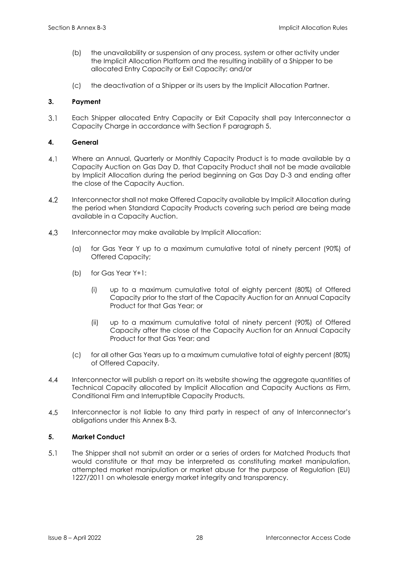- (b) the unavailability or suspension of any process, system or other activity under the Implicit Allocation Platform and the resulting inability of a Shipper to be allocated Entry Capacity or Exit Capacity; and/or
- (c) the deactivation of a Shipper or its users by the Implicit Allocation Partner.

# <span id="page-32-0"></span>**3. Payment**

Each Shipper allocated Entry Capacity or Exit Capacity shall pay Interconnector a  $3.1$ Capacity Charge in accordance with Section F paragraph 5.

# <span id="page-32-1"></span>**4. General**

- $4.1$ Where an Annual, Quarterly or Monthly Capacity Product is to made available by a Capacity Auction on Gas Day D, that Capacity Product shall not be made available by Implicit Allocation during the period beginning on Gas Day D-3 and ending after the close of the Capacity Auction.
- $4.2$ Interconnector shall not make Offered Capacity available by Implicit Allocation during the period when Standard Capacity Products covering such period are being made available in a Capacity Auction.
- $4.3$ Interconnector may make available by Implicit Allocation:
	- (a) for Gas Year Y up to a maximum cumulative total of ninety percent (90%) of Offered Capacity;
	- (b) for Gas Year Y+1:
		- (i) up to a maximum cumulative total of eighty percent (80%) of Offered Capacity prior to the start of the Capacity Auction for an Annual Capacity Product for that Gas Year; or
		- (ii) up to a maximum cumulative total of ninety percent (90%) of Offered Capacity after the close of the Capacity Auction for an Annual Capacity Product for that Gas Year; and
	- (c) for all other Gas Years up to a maximum cumulative total of eighty percent (80%) of Offered Capacity.
- $4.4$ Interconnector will publish a report on its website showing the aggregate quantities of Technical Capacity allocated by Implicit Allocation and Capacity Auctions as Firm, Conditional Firm and Interruptible Capacity Products.
- 4.5 Interconnector is not liable to any third party in respect of any of Interconnector's obligations under this Annex B-3.

# <span id="page-32-2"></span>**5. Market Conduct**

 $5.1$ The Shipper shall not submit an order or a series of orders for Matched Products that would constitute or that may be interpreted as constituting market manipulation, attempted market manipulation or market abuse for the purpose of Regulation (EU) 1227/2011 on wholesale energy market integrity and transparency.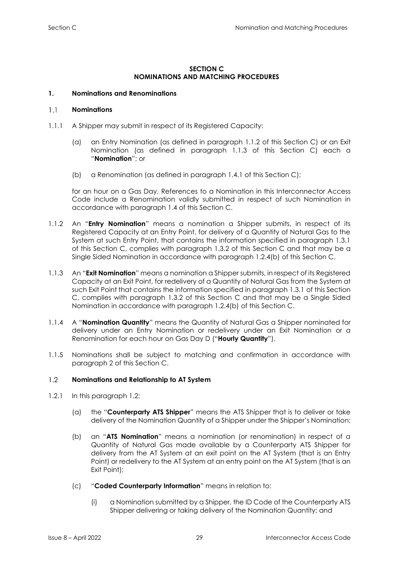# **SECTION C NOMINATIONS AND MATCHING PROCEDURES**

# <span id="page-33-1"></span><span id="page-33-0"></span>**1. Nominations and Renominations**

#### $1.1$ **Nominations**

- 1.1.1 A Shipper may submit in respect of its Registered Capacity:
	- (a) an Entry Nomination (as defined in paragraph 1.1.2 of this Section C) or an Exit Nomination (as defined in paragraph 1.1.3 of this Section C) each a "**Nomination**"; or
	- (b) a Renomination (as defined in paragraph 1.4.1 of this Section C);

for an hour on a Gas Day. References to a Nomination in this Interconnector Access Code include a Renomination validly submitted in respect of such Nomination in accordance with paragraph 1.4 of this Section C.

- 1.1.2 An "**Entry Nomination**" means a nomination a Shipper submits, in respect of its Registered Capacity at an Entry Point, for delivery of a Quantity of Natural Gas to the System at such Entry Point, that contains the information specified in paragraph 1.3.1 of this Section C, complies with paragraph 1.3.2 of this Section C and that may be a Single Sided Nomination in accordance with paragraph 1.2.4(b) of this Section C.
- 1.1.3 An "**Exit Nomination**" means a nomination a Shipper submits, in respect of its Registered Capacity at an Exit Point, for redelivery of a Quantity of Natural Gas from the System at such Exit Point that contains the information specified in paragraph 1.3.1 of this Section C, complies with paragraph 1.3.2 of this Section C and that may be a Single Sided Nomination in accordance with paragraph 1.2.4(b) of this Section C.
- 1.1.4 A "**Nomination Quantity**" means the Quantity of Natural Gas a Shipper nominated for delivery under an Entry Nomination or redelivery under an Exit Nomination or a Renomination for each hour on Gas Day D ("**Hourly Quantity**").
- 1.1.5 Nominations shall be subject to matching and confirmation in accordance with paragraph 2 of this Section C.

#### $12$ **Nominations and Relationship to AT System**

- 1.2.1 In this paragraph 1.2:
	- (a) the "**Counterparty ATS Shipper**" means the ATS Shipper that is to deliver or take delivery of the Nomination Quantity of a Shipper under the Shipper's Nomination;
	- (b) an "**ATS Nomination**" means a nomination (or renomination) in respect of a Quantity of Natural Gas made available by a Counterparty ATS Shipper for delivery from the AT System at an exit point on the AT System (that is an Entry Point) or redelivery to the AT System at an entry point on the AT System (that is an Exit Point);
	- (c) "**Coded Counterparty Information**" means in relation to:
		- (i) a Nomination submitted by a Shipper, the ID Code of the Counterparty ATS Shipper delivering or taking delivery of the Nomination Quantity; and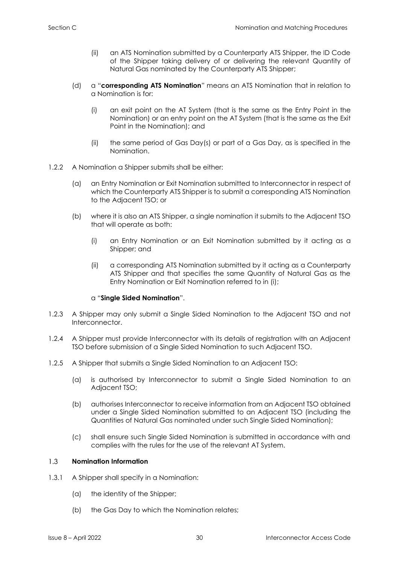- (ii) an ATS Nomination submitted by a Counterparty ATS Shipper, the ID Code of the Shipper taking delivery of or delivering the relevant Quantity of Natural Gas nominated by the Counterparty ATS Shipper;
- (d) a "**corresponding ATS Nomination**" means an ATS Nomination that in relation to a Nomination is for:
	- (i) an exit point on the AT System (that is the same as the Entry Point in the Nomination) or an entry point on the AT System (that is the same as the Exit Point in the Nomination); and
	- (ii) the same period of Gas Day(s) or part of a Gas Day, as is specified in the Nomination.
- 1.2.2 A Nomination a Shipper submits shall be either:
	- (a) an Entry Nomination or Exit Nomination submitted to Interconnector in respect of which the Counterparty ATS Shipper is to submit a corresponding ATS Nomination to the Adjacent TSO; or
	- (b) where it is also an ATS Shipper, a single nomination it submits to the Adjacent TSO that will operate as both:
		- (i) an Entry Nomination or an Exit Nomination submitted by it acting as a Shipper; and
		- (ii) a corresponding ATS Nomination submitted by it acting as a Counterparty ATS Shipper and that specifies the same Quantity of Natural Gas as the Entry Nomination or Exit Nomination referred to in (i);

# a "**Single Sided Nomination**".

- 1.2.3 A Shipper may only submit a Single Sided Nomination to the Adjacent TSO and not Interconnector.
- 1.2.4 A Shipper must provide Interconnector with its details of registration with an Adjacent TSO before submission of a Single Sided Nomination to such Adjacent TSO.
- 1.2.5 A Shipper that submits a Single Sided Nomination to an Adjacent TSO:
	- (a) is authorised by Interconnector to submit a Single Sided Nomination to an Adjacent TSO;
	- (b) authorises Interconnector to receive information from an Adjacent TSO obtained under a Single Sided Nomination submitted to an Adjacent TSO (including the Quantities of Natural Gas nominated under such Single Sided Nomination);
	- (c) shall ensure such Single Sided Nomination is submitted in accordance with and complies with the rules for the use of the relevant AT System.

#### $1.3$ **Nomination Information**

- 1.3.1 A Shipper shall specify in a Nomination:
	- (a) the identity of the Shipper;
	- (b) the Gas Day to which the Nomination relates;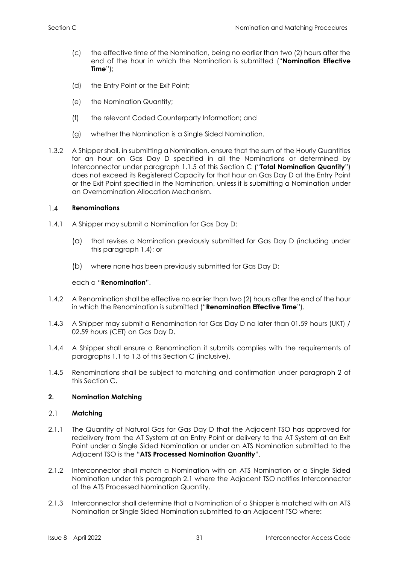- (c) the effective time of the Nomination, being no earlier than two (2) hours after the end of the hour in which the Nomination is submitted ("**Nomination Effective Time**");
- (d) the Entry Point or the Exit Point;
- (e) the Nomination Quantity;
- (f) the relevant Coded Counterparty Information; and
- (g) whether the Nomination is a Single Sided Nomination.
- 1.3.2 A Shipper shall, in submitting a Nomination, ensure that the sum of the Hourly Quantities for an hour on Gas Day D specified in all the Nominations or determined by Interconnector under paragraph 1.1.5 of this Section C ("**Total Nomination Quantity**") does not exceed its Registered Capacity for that hour on Gas Day D at the Entry Point or the Exit Point specified in the Nomination, unless it is submitting a Nomination under an Overnomination Allocation Mechanism.

#### $1.4$ **Renominations**

- 1.4.1 A Shipper may submit a Nomination for Gas Day D:
	- (a) that revises a Nomination previously submitted for Gas Day D (including under this paragraph 1.4); or
	- (b) where none has been previously submitted for Gas Day D;

# each a "**Renomination**".

- 1.4.2 A Renomination shall be effective no earlier than two (2) hours after the end of the hour in which the Renomination is submitted ("**Renomination Effective Time**").
- 1.4.3 A Shipper may submit a Renomination for Gas Day D no later than 01.59 hours (UKT) / 02.59 hours (CET) on Gas Day D.
- 1.4.4 A Shipper shall ensure a Renomination it submits complies with the requirements of paragraphs 1.1 to 1.3 of this Section C (inclusive).
- 1.4.5 Renominations shall be subject to matching and confirmation under paragraph 2 of this Section C.

# <span id="page-35-0"></span>**2. Nomination Matching**

#### $2.1$ **Matching**

- 2.1.1 The Quantity of Natural Gas for Gas Day D that the Adjacent TSO has approved for redelivery from the AT System at an Entry Point or delivery to the AT System at an Exit Point under a Single Sided Nomination or under an ATS Nomination submitted to the Adjacent TSO is the "**ATS Processed Nomination Quantity**".
- 2.1.2 Interconnector shall match a Nomination with an ATS Nomination or a Single Sided Nomination under this paragraph 2.1 where the Adjacent TSO notifies Interconnector of the ATS Processed Nomination Quantity.
- 2.1.3 Interconnector shall determine that a Nomination of a Shipper is matched with an ATS Nomination or Single Sided Nomination submitted to an Adjacent TSO where: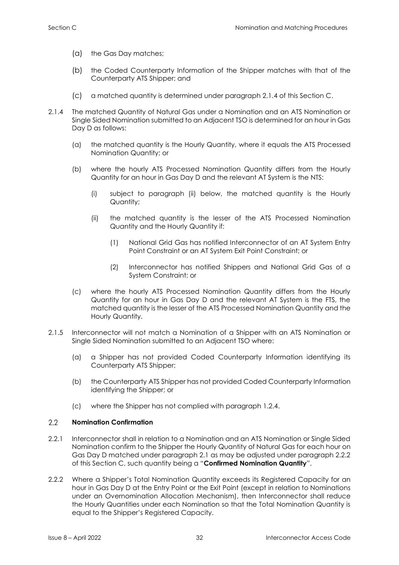- (a) the Gas Day matches;
- (b) the Coded Counterparty Information of the Shipper matches with that of the Counterparty ATS Shipper; and
- (c) a matched quantity is determined under paragraph 2.1.4 of this Section C.
- 2.1.4 The matched Quantity of Natural Gas under a Nomination and an ATS Nomination or Single Sided Nomination submitted to an Adjacent TSO is determined for an hour in Gas Day D as follows:
	- (a) the matched quantity is the Hourly Quantity, where it equals the ATS Processed Nomination Quantity; or
	- (b) where the hourly ATS Processed Nomination Quantity differs from the Hourly Quantity for an hour in Gas Day D and the relevant AT System is the NTS:
		- (i) subject to paragraph (ii) below, the matched quantity is the Hourly Quantity;
		- (ii) the matched quantity is the lesser of the ATS Processed Nomination Quantity and the Hourly Quantity if:
			- (1) National Grid Gas has notified Interconnector of an AT System Entry Point Constraint or an AT System Exit Point Constraint; or
			- (2) Interconnector has notified Shippers and National Grid Gas of a System Constraint; or
	- (c) where the hourly ATS Processed Nomination Quantity differs from the Hourly Quantity for an hour in Gas Day D and the relevant AT System is the FTS, the matched quantity is the lesser of the ATS Processed Nomination Quantity and the Hourly Quantity.
- 2.1.5 Interconnector will not match a Nomination of a Shipper with an ATS Nomination or Single Sided Nomination submitted to an Adjacent TSO where:
	- (a) a Shipper has not provided Coded Counterparty Information identifying its Counterparty ATS Shipper;
	- (b) the Counterparty ATS Shipper has not provided Coded Counterparty Information identifying the Shipper; or
	- (c) where the Shipper has not complied with paragraph 1.2.4.

#### 2.2 **Nomination Confirmation**

- 2.2.1 Interconnector shall in relation to a Nomination and an ATS Nomination or Single Sided Nomination confirm to the Shipper the Hourly Quantity of Natural Gas for each hour on Gas Day D matched under paragraph 2.1 as may be adjusted under paragraph 2.2.2 of this Section C, such quantity being a "**Confirmed Nomination Quantity**".
- 2.2.2 Where a Shipper's Total Nomination Quantity exceeds its Registered Capacity for an hour in Gas Day D at the Entry Point or the Exit Point (except in relation to Nominations under an Overnomination Allocation Mechanism), then Interconnector shall reduce the Hourly Quantities under each Nomination so that the Total Nomination Quantity is equal to the Shipper's Registered Capacity.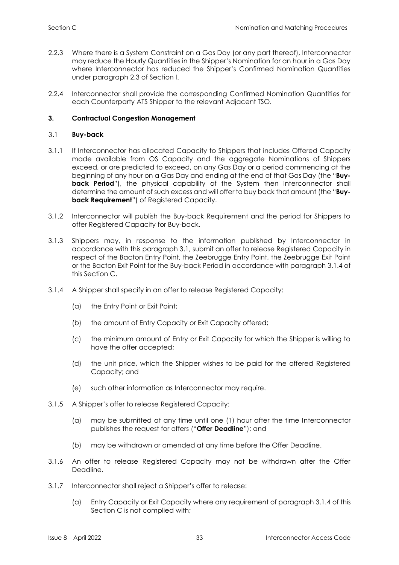- 2.2.3 Where there is a System Constraint on a Gas Day (or any part thereof), Interconnector may reduce the Hourly Quantities in the Shipper's Nomination for an hour in a Gas Day where Interconnector has reduced the Shipper's Confirmed Nomination Quantities under paragraph 2.3 of Section I.
- 2.2.4 Interconnector shall provide the corresponding Confirmed Nomination Quantities for each Counterparty ATS Shipper to the relevant Adjacent TSO.

# <span id="page-37-0"></span>**3. Contractual Congestion Management**

#### $3.1$ **Buy-back**

- 3.1.1 If Interconnector has allocated Capacity to Shippers that includes Offered Capacity made available from OS Capacity and the aggregate Nominations of Shippers exceed, or are predicted to exceed, on any Gas Day or a period commencing at the beginning of any hour on a Gas Day and ending at the end of that Gas Day (the "**Buyback Period**"), the physical capability of the System then Interconnector shall determine the amount of such excess and will offer to buy back that amount (the "**Buyback Requirement**") of Registered Capacity.
- 3.1.2 Interconnector will publish the Buy-back Requirement and the period for Shippers to offer Registered Capacity for Buy-back.
- 3.1.3 Shippers may, in response to the information published by Interconnector in accordance with this paragraph 3.1, submit an offer to release Registered Capacity in respect of the Bacton Entry Point, the Zeebrugge Entry Point, the Zeebrugge Exit Point or the Bacton Exit Point for the Buy-back Period in accordance with paragraph 3.1.4 of this Section C.
- 3.1.4 A Shipper shall specify in an offer to release Registered Capacity:
	- (a) the Entry Point or Exit Point;
	- (b) the amount of Entry Capacity or Exit Capacity offered;
	- (c) the minimum amount of Entry or Exit Capacity for which the Shipper is willing to have the offer accepted;
	- (d) the unit price, which the Shipper wishes to be paid for the offered Registered Capacity; and
	- (e) such other information as Interconnector may require.
- 3.1.5 A Shipper's offer to release Registered Capacity:
	- (a) may be submitted at any time until one (1) hour after the time Interconnector publishes the request for offers ("**Offer Deadline**"); and
	- (b) may be withdrawn or amended at any time before the Offer Deadline.
- 3.1.6 An offer to release Registered Capacity may not be withdrawn after the Offer Deadline.
- 3.1.7 Interconnector shall reject a Shipper's offer to release:
	- (a) Entry Capacity or Exit Capacity where any requirement of paragraph 3.1.4 of this Section C is not complied with;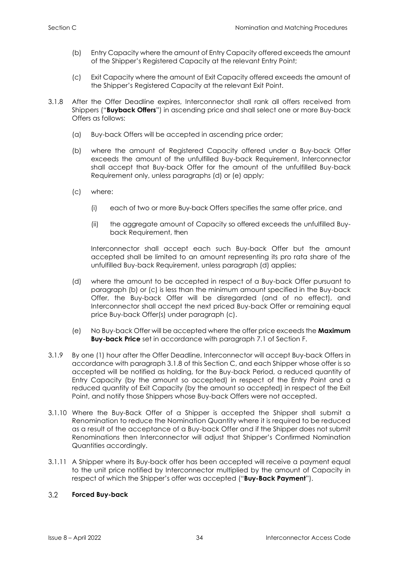- (b) Entry Capacity where the amount of Entry Capacity offered exceeds the amount of the Shipper's Registered Capacity at the relevant Entry Point;
- (c) Exit Capacity where the amount of Exit Capacity offered exceeds the amount of the Shipper's Registered Capacity at the relevant Exit Point.
- 3.1.8 After the Offer Deadline expires, Interconnector shall rank all offers received from Shippers ("**Buyback Offers**") in ascending price and shall select one or more Buy-back Offers as follows:
	- (a) Buy-back Offers will be accepted in ascending price order;
	- (b) where the amount of Registered Capacity offered under a Buy-back Offer exceeds the amount of the unfulfilled Buy-back Requirement, Interconnector shall accept that Buy-back Offer for the amount of the unfulfilled Buy-back Requirement only, unless paragraphs (d) or (e) apply;
	- (c) where:
		- (i) each of two or more Buy-back Offers specifies the same offer price, and
		- (ii) the aggregate amount of Capacity so offered exceeds the unfulfilled Buyback Requirement, then

Interconnector shall accept each such Buy-back Offer but the amount accepted shall be limited to an amount representing its pro rata share of the unfulfilled Buy-back Requirement, unless paragraph (d) applies;

- (d) where the amount to be accepted in respect of a Buy-back Offer pursuant to paragraph (b) or (c) is less than the minimum amount specified in the Buy-back Offer, the Buy-back Offer will be disregarded (and of no effect), and Interconnector shall accept the next priced Buy-back Offer or remaining equal price Buy-back Offer(s) under paragraph (c).
- (e) No Buy-back Offer will be accepted where the offer price exceeds the **Maximum Buy-back Price** set in accordance with paragraph 7.1 of Section F.
- 3.1.9 By one (1) hour after the Offer Deadline, Interconnector will accept Buy-back Offers in accordance with paragraph 3.1.8 of this Section C, and each Shipper whose offer is so accepted will be notified as holding, for the Buy-back Period, a reduced quantity of Entry Capacity (by the amount so accepted) in respect of the Entry Point and a reduced quantity of Exit Capacity (by the amount so accepted) in respect of the Exit Point, and notify those Shippers whose Buy-back Offers were not accepted.
- 3.1.10 Where the Buy-Back Offer of a Shipper is accepted the Shipper shall submit a Renomination to reduce the Nomination Quantity where it is required to be reduced as a result of the acceptance of a Buy-back Offer and if the Shipper does not submit Renominations then Interconnector will adjust that Shipper's Confirmed Nomination Quantities accordingly.
- 3.1.11 A Shipper where its Buy-back offer has been accepted will receive a payment equal to the unit price notified by Interconnector multiplied by the amount of Capacity in respect of which the Shipper's offer was accepted ("**Buy-Back Payment**").

#### $3.2$ **Forced Buy-back**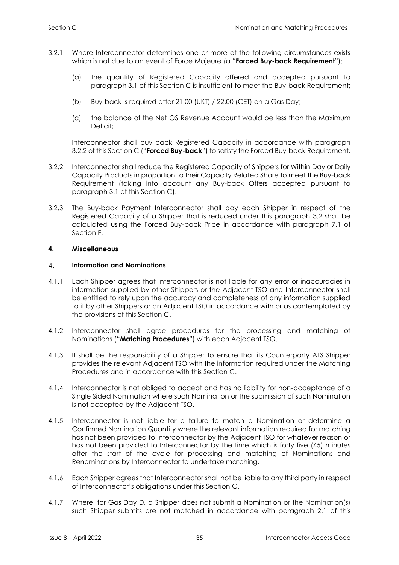- 3.2.1 Where Interconnector determines one or more of the following circumstances exists which is not due to an event of Force Majeure (a "**Forced Buy-back Requirement**"):
	- (a) the quantity of Registered Capacity offered and accepted pursuant to paragraph 3.1 of this Section C is insufficient to meet the Buy-back Requirement;
	- (b) Buy-back is required after 21.00 (UKT) / 22.00 (CET) on a Gas Day;
	- (c) the balance of the Net OS Revenue Account would be less than the Maximum Deficit;

Interconnector shall buy back Registered Capacity in accordance with paragraph 3.2.2 of this Section C ("**Forced Buy-back**") to satisfy the Forced Buy-back Requirement.

- 3.2.2 Interconnector shall reduce the Registered Capacity of Shippers for Within Day or Daily Capacity Products in proportion to their Capacity Related Share to meet the Buy-back Requirement (taking into account any Buy-back Offers accepted pursuant to paragraph 3.1 of this Section C).
- 3.2.3 The Buy-back Payment Interconnector shall pay each Shipper in respect of the Registered Capacity of a Shipper that is reduced under this paragraph 3.2 shall be calculated using the Forced Buy-back Price in accordance with paragraph 7.1 of Section F.

# <span id="page-39-0"></span>**4. Miscellaneous**

#### $4.1$ **Information and Nominations**

- 4.1.1 Each Shipper agrees that Interconnector is not liable for any error or inaccuracies in information supplied by other Shippers or the Adjacent TSO and Interconnector shall be entitled to rely upon the accuracy and completeness of any information supplied to it by other Shippers or an Adjacent TSO in accordance with or as contemplated by the provisions of this Section C.
- 4.1.2 Interconnector shall agree procedures for the processing and matching of Nominations ("**Matching Procedures**") with each Adjacent TSO.
- 4.1.3 It shall be the responsibility of a Shipper to ensure that its Counterparty ATS Shipper provides the relevant Adjacent TSO with the information required under the Matching Procedures and in accordance with this Section C.
- 4.1.4 Interconnector is not obliged to accept and has no liability for non-acceptance of a Single Sided Nomination where such Nomination or the submission of such Nomination is not accepted by the Adjacent TSO.
- 4.1.5 Interconnector is not liable for a failure to match a Nomination or determine a Confirmed Nomination Quantity where the relevant information required for matching has not been provided to Interconnector by the Adjacent TSO for whatever reason or has not been provided to Interconnector by the time which is forty five (45) minutes after the start of the cycle for processing and matching of Nominations and Renominations by Interconnector to undertake matching.
- 4.1.6 Each Shipper agrees that Interconnector shall not be liable to any third party in respect of Interconnector's obligations under this Section C.
- 4.1.7 Where, for Gas Day D, a Shipper does not submit a Nomination or the Nomination(s) such Shipper submits are not matched in accordance with paragraph 2.1 of this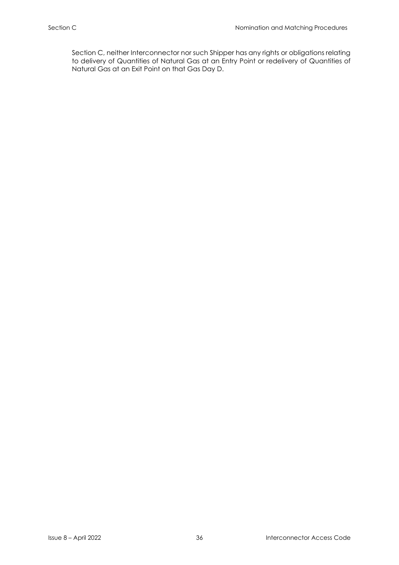Section C, neither Interconnector nor such Shipper has any rights or obligations relating to delivery of Quantities of Natural Gas at an Entry Point or redelivery of Quantities of Natural Gas at an Exit Point on that Gas Day D.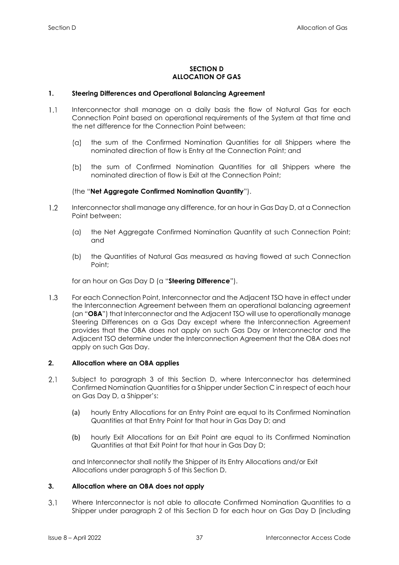# **SECTION D ALLOCATION OF GAS**

# <span id="page-41-1"></span><span id="page-41-0"></span>**1. Steering Differences and Operational Balancing Agreement**

- $1.1$ Interconnector shall manage on a daily basis the flow of Natural Gas for each Connection Point based on operational requirements of the System at that time and the net difference for the Connection Point between:
	- $(a)$ the sum of the Confirmed Nomination Quantities for all Shippers where the nominated direction of flow is Entry at the Connection Point; and
	- the sum of Confirmed Nomination Quantities for all Shippers where the  $(b)$ nominated direction of flow is Exit at the Connection Point;

# (the "**Net Aggregate Confirmed Nomination Quantity**").

- $1.2$ Interconnector shall manage any difference, for an hour in Gas Day D, at a Connection Point between:
	- (a) the Net Aggregate Confirmed Nomination Quantity at such Connection Point; and
	- (b) the Quantities of Natural Gas measured as having flowed at such Connection Point;

for an hour on Gas Day D (a "**Steering Difference**").

 $1.3$ For each Connection Point, Interconnector and the Adjacent TSO have in effect under the Interconnection Agreement between them an operational balancing agreement (an "**OBA**") that Interconnector and the Adjacent TSO will use to operationally manage Steering Differences on a Gas Day except where the Interconnection Agreement provides that the OBA does not apply on such Gas Day or Interconnector and the Adjacent TSO determine under the Interconnection Agreement that the OBA does not apply on such Gas Day.

# <span id="page-41-2"></span>**2. Allocation where an OBA applies**

- $2.1$ Subject to paragraph 3 of this Section D, where Interconnector has determined Confirmed Nomination Quantities for a Shipper under Section C in respect of each hour on Gas Day D, a Shipper's:
	- (a) hourly Entry Allocations for an Entry Point are equal to its Confirmed Nomination Quantities at that Entry Point for that hour in Gas Day D; and
	- (b) hourly Exit Allocations for an Exit Point are equal to its Confirmed Nomination Quantities at that Exit Point for that hour in Gas Day D;

and Interconnector shall notify the Shipper of its Entry Allocations and/or Exit Allocations under paragraph 5 of this Section D.

# <span id="page-41-3"></span>**3. Allocation where an OBA does not apply**

 $3.1$ Where Interconnector is not able to allocate Confirmed Nomination Quantities to a Shipper under paragraph 2 of this Section D for each hour on Gas Day D (including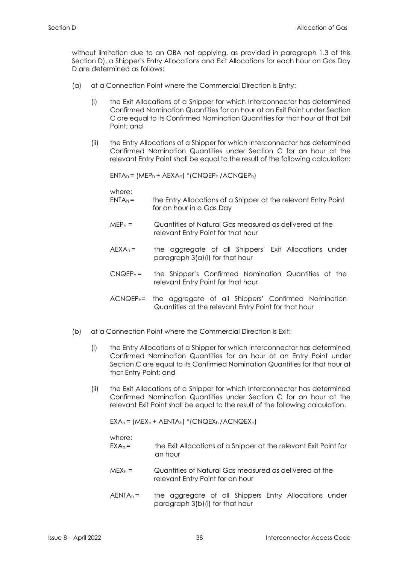without limitation due to an OBA not applying, as provided in paragraph 1.3 of this Section D), a Shipper's Entry Allocations and Exit Allocations for each hour on Gas Day D are determined as follows:

- (a) at a Connection Point where the Commercial Direction is Entry:
	- (i) the Exit Allocations of a Shipper for which Interconnector has determined Confirmed Nomination Quantities for an hour at an Exit Point under Section C are equal to its Confirmed Nomination Quantities for that hour at that Exit Point; and
	- (ii) the Entry Allocations of a Shipper for which Interconnector has determined Confirmed Nomination Quantities under Section C for an hour at the relevant Entry Point shall be equal to the result of the following calculation:

ENTA<sup>h</sup> = (MEP<sup>h</sup> + AEXAh) \*(CNQEPh /ACNQEPh)

where:

- $ENTA<sub>b</sub> =$  the Entry Allocations of a Shipper at the relevant Entry Point for an hour in a Gas Day
- MEP<sup>h</sup> = Quantities of Natural Gas measured as delivered at the relevant Entry Point for that hour
- $AEXA_h =$  the aggregate of all Shippers' Exit Allocations under paragraph 3(a)(i) for that hour
- $C N Q E P<sub>h</sub>$  = the Shipper's Confirmed Nomination Quantities at the relevant Entry Point for that hour
- ACNQEPh= the aggregate of all Shippers' Confirmed Nomination Quantities at the relevant Entry Point for that hour
- (b) at a Connection Point where the Commercial Direction is Exit:
	- (i) the Entry Allocations of a Shipper for which Interconnector has determined Confirmed Nomination Quantities for an hour at an Entry Point under Section C are equal to its Confirmed Nomination Quantities for that hour at that Entry Point; and
	- (ii) the Exit Allocations of a Shipper for which Interconnector has determined Confirmed Nomination Quantities under Section C for an hour at the relevant Exit Point shall be equal to the result of the following calculation.

 $EXA_h = (MEX_h + AENTA_h) * (CNQEX_h / ACNQEX_h)$ 

where:

- $EXA_h =$  the Exit Allocations of a Shipper at the relevant Exit Point for an hour
- $MEX_h =$  Quantities of Natural Gas measured as delivered at the relevant Entry Point for an hour
- $AENTA<sub>h</sub>$  = the aggregate of all Shippers Entry Allocations under paragraph 3(b)(i) for that hour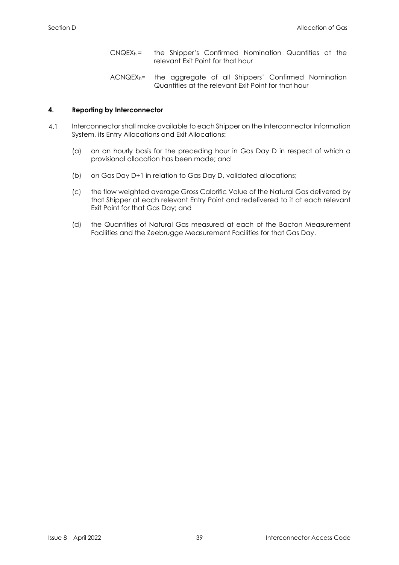- $C N Q E X<sub>h</sub> =$  the Shipper's Confirmed Nomination Quantities at the relevant Exit Point for that hour
- ACNQEXh= the aggregate of all Shippers' Confirmed Nomination Quantities at the relevant Exit Point for that hour

# <span id="page-43-0"></span>**4. Reporting by Interconnector**

- $4.1$ Interconnector shall make available to each Shipper on the Interconnector Information System, its Entry Allocations and Exit Allocations:
	- (a) on an hourly basis for the preceding hour in Gas Day D in respect of which a provisional allocation has been made; and
	- (b) on Gas Day D+1 in relation to Gas Day D, validated allocations;
	- (c) the flow weighted average Gross Calorific Value of the Natural Gas delivered by that Shipper at each relevant Entry Point and redelivered to it at each relevant Exit Point for that Gas Day; and
	- (d) the Quantities of Natural Gas measured at each of the Bacton Measurement Facilities and the Zeebrugge Measurement Facilities for that Gas Day.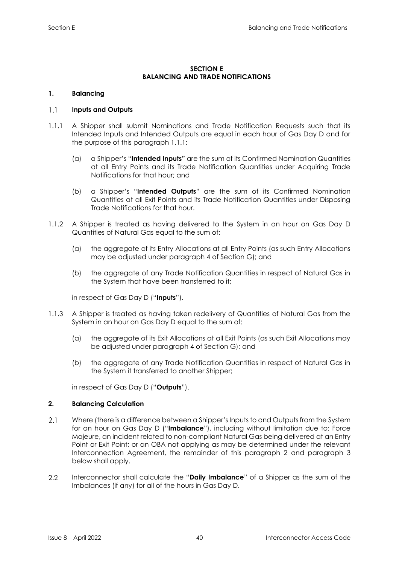# **SECTION E BALANCING AND TRADE NOTIFICATIONS**

# <span id="page-44-1"></span><span id="page-44-0"></span>**1. Balancing**

#### $1.1$ **Inputs and Outputs**

- 1.1.1 A Shipper shall submit Nominations and Trade Notification Requests such that its Intended Inputs and Intended Outputs are equal in each hour of Gas Day D and for the purpose of this paragraph 1.1.1:
	- (a) a Shipper's "**Intended Inputs"** are the sum of its Confirmed Nomination Quantities at all Entry Points and its Trade Notification Quantities under Acquiring Trade Notifications for that hour; and
	- (b) a Shipper's "**Intended Outputs**" are the sum of its Confirmed Nomination Quantities at all Exit Points and its Trade Notification Quantities under Disposing Trade Notifications for that hour.
- 1.1.2 A Shipper is treated as having delivered to the System in an hour on Gas Day D Quantities of Natural Gas equal to the sum of:
	- (a) the aggregate of its Entry Allocations at all Entry Points (as such Entry Allocations may be adjusted under paragraph 4 of Section G); and
	- (b) the aggregate of any Trade Notification Quantities in respect of Natural Gas in the System that have been transferred to it;

in respect of Gas Day D ("**Inputs**").

- 1.1.3 A Shipper is treated as having taken redelivery of Quantities of Natural Gas from the System in an hour on Gas Day D equal to the sum of:
	- (a) the aggregate of its Exit Allocations at all Exit Points (as such Exit Allocations may be adjusted under paragraph 4 of Section G); and
	- (b) the aggregate of any Trade Notification Quantities in respect of Natural Gas in the System it transferred to another Shipper;

in respect of Gas Day D ("**Outputs**").

# <span id="page-44-2"></span>**2. Balancing Calculation**

- $2.1$ Where (there is a difference between a Shipper's Inputs to and Outputs from the System for an hour on Gas Day D ("**Imbalance**"), including without limitation due to: Force Majeure, an incident related to non-compliant Natural Gas being delivered at an Entry Point or Exit Point; or an OBA not applying as may be determined under the relevant Interconnection Agreement, the remainder of this paragraph 2 and paragraph 3 below shall apply.
- $2.2$ Interconnector shall calculate the "**Daily Imbalance**" of a Shipper as the sum of the Imbalances (if any) for all of the hours in Gas Day D.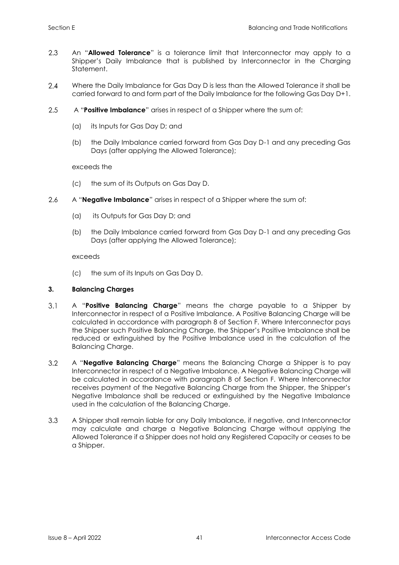- 2.3 An "**Allowed Tolerance**" is a tolerance limit that Interconnector may apply to a Shipper's Daily Imbalance that is published by Interconnector in the Charging Statement.
- $2.4$ Where the Daily Imbalance for Gas Day D is less than the Allowed Tolerance it shall be carried forward to and form part of the Daily Imbalance for the following Gas Day D+1.
- A "**Positive Imbalance**" arises in respect of a Shipper where the sum of:  $2.5$ 
	- (a) its Inputs for Gas Day D; and
	- (b) the Daily Imbalance carried forward from Gas Day D-1 and any preceding Gas Days (after applying the Allowed Tolerance);

exceeds the

- (c) the sum of its Outputs on Gas Day D.
- 2.6 A "**Negative Imbalance**" arises in respect of a Shipper where the sum of:
	- (a) its Outputs for Gas Day D; and
	- (b) the Daily Imbalance carried forward from Gas Day D-1 and any preceding Gas Days (after applying the Allowed Tolerance);

exceeds

(c) the sum of its Inputs on Gas Day D.

# <span id="page-45-0"></span>**3. Balancing Charges**

- $3.1$ A "**Positive Balancing Charge**" means the charge payable to a Shipper by Interconnector in respect of a Positive Imbalance. A Positive Balancing Charge will be calculated in accordance with paragraph 8 of Section F. Where Interconnector pays the Shipper such Positive Balancing Charge, the Shipper's Positive Imbalance shall be reduced or extinguished by the Positive Imbalance used in the calculation of the Balancing Charge.
- $3.2$ A "**Negative Balancing Charge**" means the Balancing Charge a Shipper is to pay Interconnector in respect of a Negative Imbalance. A Negative Balancing Charge will be calculated in accordance with paragraph 8 of Section F. Where Interconnector receives payment of the Negative Balancing Charge from the Shipper, the Shipper's Negative Imbalance shall be reduced or extinguished by the Negative Imbalance used in the calculation of the Balancing Charge.
- 3.3 A Shipper shall remain liable for any Daily Imbalance, if negative, and Interconnector may calculate and charge a Negative Balancing Charge without applying the Allowed Tolerance if a Shipper does not hold any Registered Capacity or ceases to be a Shipper.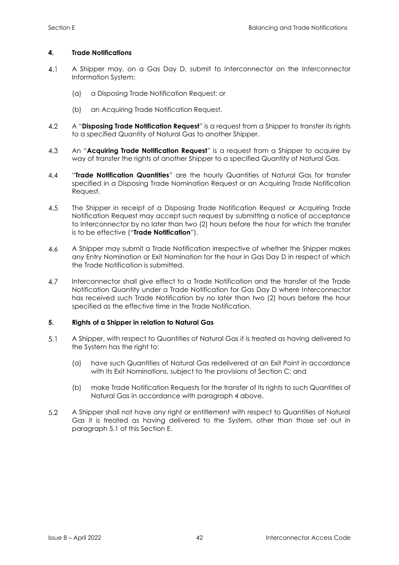# <span id="page-46-0"></span>**4. Trade Notifications**

- $4.1$ A Shipper may, on a Gas Day D, submit to Interconnector on the Interconnector Information System:
	- (a) a Disposing Trade Notification Request; or
	- (b) an Acquiring Trade Notification Request.
- 4.2 A "**Disposing Trade Notification Request**" is a request from a Shipper to transfer its rights to a specified Quantity of Natural Gas to another Shipper.
- 4.3 An "**Acquiring Trade Notification Request**" is a request from a Shipper to acquire by way of transfer the rights of another Shipper to a specified Quantity of Natural Gas.
- $4.4$ "**Trade Notification Quantities***"* are the hourly Quantities of Natural Gas for transfer specified in a Disposing Trade Nomination Request or an Acquiring Trade Notification Request.
- 4.5 The Shipper in receipt of a Disposing Trade Notification Request or Acquiring Trade Notification Request may accept such request by submitting a notice of acceptance to Interconnector by no later than two (2) hours before the hour for which the transfer is to be effective ("**Trade Notification**").
- $4.6$ A Shipper may submit a Trade Notification irrespective of whether the Shipper makes any Entry Nomination or Exit Nomination for the hour in Gas Day D in respect of which the Trade Notification is submitted.
- 4.7 Interconnector shall give effect to a Trade Notification and the transfer of the Trade Notification Quantity under a Trade Notification for Gas Day D where Interconnector has received such Trade Notification by no later than two (2) hours before the hour specified as the effective time in the Trade Notification.

# <span id="page-46-1"></span>**5. Rights of a Shipper in relation to Natural Gas**

- $5.1$ A Shipper, with respect to Quantities of Natural Gas it is treated as having delivered to the System has the right to:
	- (a) have such Quantities of Natural Gas redelivered at an Exit Point in accordance with its Exit Nominations, subject to the provisions of Section C; and
	- (b) make Trade Notification Requests for the transfer of its rights to such Quantities of Natural Gas in accordance with paragraph 4 above.
- 5.2 A Shipper shall not have any right or entitlement with respect to Quantities of Natural Gas it is treated as having delivered to the System, other than those set out in paragraph 5.1 of this Section E.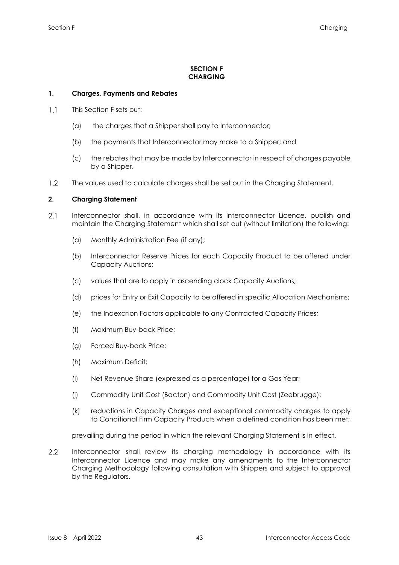# **SECTION F CHARGING**

# <span id="page-47-1"></span><span id="page-47-0"></span>**1. Charges, Payments and Rebates**

- $1.1$ This Section F sets out:
	- (a) the charges that a Shipper shall pay to Interconnector;
	- (b) the payments that Interconnector may make to a Shipper; and
	- (c) the rebates that may be made by Interconnector in respect of charges payable by a Shipper.
- <span id="page-47-2"></span> $1.2<sup>°</sup>$ The values used to calculate charges shall be set out in the Charging Statement.

# **2. Charging Statement**

- $2.1$ Interconnector shall, in accordance with its Interconnector Licence, publish and maintain the Charging Statement which shall set out (without limitation) the following:
	- (a) Monthly Administration Fee (if any);
	- (b) Interconnector Reserve Prices for each Capacity Product to be offered under Capacity Auctions;
	- (c) values that are to apply in ascending clock Capacity Auctions;
	- (d) prices for Entry or Exit Capacity to be offered in specific Allocation Mechanisms;
	- (e) the Indexation Factors applicable to any Contracted Capacity Prices;
	- (f) Maximum Buy-back Price;
	- (g) Forced Buy-back Price;
	- (h) Maximum Deficit;
	- (i) Net Revenue Share (expressed as a percentage) for a Gas Year;
	- (j) Commodity Unit Cost (Bacton) and Commodity Unit Cost (Zeebrugge);
	- (k) reductions in Capacity Charges and exceptional commodity charges to apply to Conditional Firm Capacity Products when a defined condition has been met;

prevailing during the period in which the relevant Charging Statement is in effect.

 $2.2$ Interconnector shall review its charging methodology in accordance with its Interconnector Licence and may make any amendments to the Interconnector Charging Methodology following consultation with Shippers and subject to approval by the Regulators.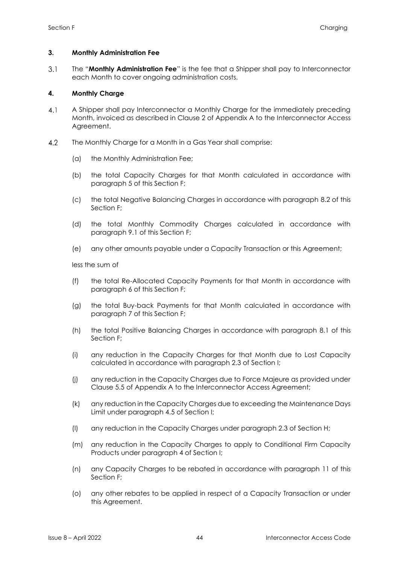# <span id="page-48-0"></span>**3. Monthly Administration Fee**

 $3.1$ The "**Monthly Administration Fee**" is the fee that a Shipper shall pay to Interconnector each Month to cover ongoing administration costs.

# <span id="page-48-1"></span>**4. Monthly Charge**

- $4.1$ A Shipper shall pay Interconnector a Monthly Charge for the immediately preceding Month, invoiced as described in Clause 2 of Appendix A to the Interconnector Access Agreement.
- $4.2$ The Monthly Charge for a Month in a Gas Year shall comprise:
	- (a) the Monthly Administration Fee;
	- (b) the total Capacity Charges for that Month calculated in accordance with paragraph 5 of this Section F;
	- (c) the total Negative Balancing Charges in accordance with paragraph 8.2 of this Section F;
	- (d) the total Monthly Commodity Charges calculated in accordance with paragraph 9.1 of this Section F;
	- (e) any other amounts payable under a Capacity Transaction or this Agreement;

less the sum of

- (f) the total Re-Allocated Capacity Payments for that Month in accordance with paragraph 6 of this Section F;
- (g) the total Buy-back Payments for that Month calculated in accordance with paragraph 7 of this Section F;
- (h) the total Positive Balancing Charges in accordance with paragraph 8.1 of this Section F;
- (i) any reduction in the Capacity Charges for that Month due to Lost Capacity calculated in accordance with paragraph 2.3 of Section I;
- (j) any reduction in the Capacity Charges due to Force Majeure as provided under Clause 5.5 of Appendix A to the Interconnector Access Agreement;
- (k) any reduction in the Capacity Charges due to exceeding the Maintenance Days Limit under paragraph 4.5 of Section I;
- (l) any reduction in the Capacity Charges under paragraph 2.3 of Section H;
- (m) any reduction in the Capacity Charges to apply to Conditional Firm Capacity Products under paragraph 4 of Section I;
- (n) any Capacity Charges to be rebated in accordance with paragraph 11 of this Section F;
- (o) any other rebates to be applied in respect of a Capacity Transaction or under this Agreement.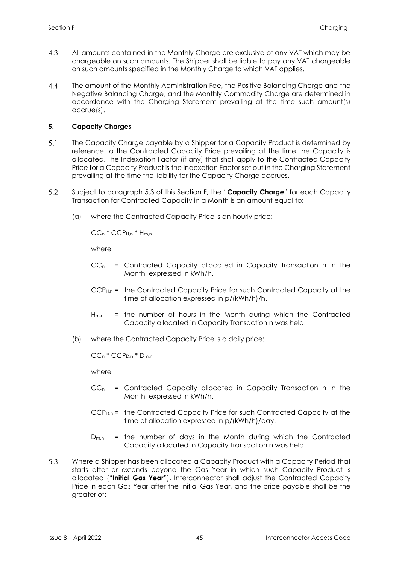- 4.3 All amounts contained in the Monthly Charge are exclusive of any VAT which may be chargeable on such amounts. The Shipper shall be liable to pay any VAT chargeable on such amounts specified in the Monthly Charge to which VAT applies.
- $4.4$ The amount of the Monthly Administration Fee, the Positive Balancing Charge and the Negative Balancing Charge, and the Monthly Commodity Charge are determined in accordance with the Charging Statement prevailing at the time such amount(s) accrue(s).

# <span id="page-49-0"></span>**5. Capacity Charges**

- $5.1$ The Capacity Charge payable by a Shipper for a Capacity Product is determined by reference to the Contracted Capacity Price prevailing at the time the Capacity is allocated. The Indexation Factor (if any) that shall apply to the Contracted Capacity Price for a Capacity Product is the Indexation Factor set out in the Charging Statement prevailing at the time the liability for the Capacity Charge accrues.
- $5.2$ Subject to paragraph 5.3 of this Section F, the "**Capacity Charge**" for each Capacity Transaction for Contracted Capacity in a Month is an amount equal to:
	- (a) where the Contracted Capacity Price is an hourly price:

 $CCn * CCP_{Hn} * H_{mn}$ 

where

- $CC_n$  = Contracted Capacity allocated in Capacity Transaction n in the Month, expressed in kWh/h.
- CCPH,n = the Contracted Capacity Price for such Contracted Capacity at the time of allocation expressed in p/(kWh/h)/h.
- $H_{m,n}$  = the number of hours in the Month during which the Contracted Capacity allocated in Capacity Transaction n was held.
- (b) where the Contracted Capacity Price is a daily price:

CC<sup>n</sup> \* CCPD,n \* Dm,n

where

- $CC_n$  = Contracted Capacity allocated in Capacity Transaction n in the Month, expressed in kWh/h.
- $CCP<sub>D,n</sub>$  = the Contracted Capacity Price for such Contracted Capacity at the time of allocation expressed in p/(kWh/h)/day.
- $D_{m,n}$  = the number of days in the Month during which the Contracted Capacity allocated in Capacity Transaction n was held.
- 5.3 Where a Shipper has been allocated a Capacity Product with a Capacity Period that starts after or extends beyond the Gas Year in which such Capacity Product is allocated ("**Initial Gas Year**"), Interconnector shall adjust the Contracted Capacity Price in each Gas Year after the Initial Gas Year, and the price payable shall be the greater of: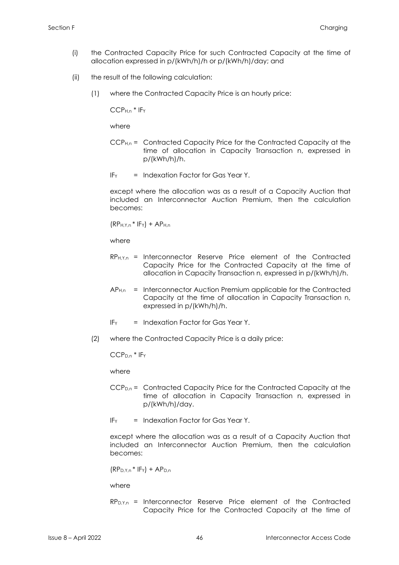- (i) the Contracted Capacity Price for such Contracted Capacity at the time of allocation expressed in p/(kWh/h)/h or p/(kWh/h)/day; and
- (ii) the result of the following calculation:
	- (1) where the Contracted Capacity Price is an hourly price:

CCPH,n \* IF<sup>Y</sup>

where

- CCPH,n = Contracted Capacity Price for the Contracted Capacity at the time of allocation in Capacity Transaction n, expressed in p/(kWh/h)/h.
- $IF<sub>Y</sub>$  = Indexation Factor for Gas Year Y.

except where the allocation was as a result of a Capacity Auction that included an Interconnector Auction Premium, then the calculation becomes:

 $(RP_{H,Y,n} * IFY) + AP_{H,n}$ 

where

- $RP_{H,Y,n}$  = Interconnector Reserve Price element of the Contracted Capacity Price for the Contracted Capacity at the time of allocation in Capacity Transaction n, expressed in p/(kWh/h)/h.
- $AP<sub>H,n</sub>$  = Interconnector Auction Premium applicable for the Contracted Capacity at the time of allocation in Capacity Transaction n, expressed in p/(kWh/h)/h.
- IF<sup>Y</sup> = Indexation Factor for Gas Year Y.
- (2) where the Contracted Capacity Price is a daily price:

CCPD,n \* IF<sup>Y</sup>

where

- CCPD,n = Contracted Capacity Price for the Contracted Capacity at the time of allocation in Capacity Transaction n, expressed in p/(kWh/h)/day.
- $IF<sub>Y</sub>$  = Indexation Factor for Gas Year Y.

except where the allocation was as a result of a Capacity Auction that included an Interconnector Auction Premium, then the calculation becomes:

 $(RP<sub>D.Y.n</sub> * IF<sub>Y</sub>) + AP<sub>D.n</sub>$ 

where

 $RP_{D,Y,n}$  = Interconnector Reserve Price element of the Contracted Capacity Price for the Contracted Capacity at the time of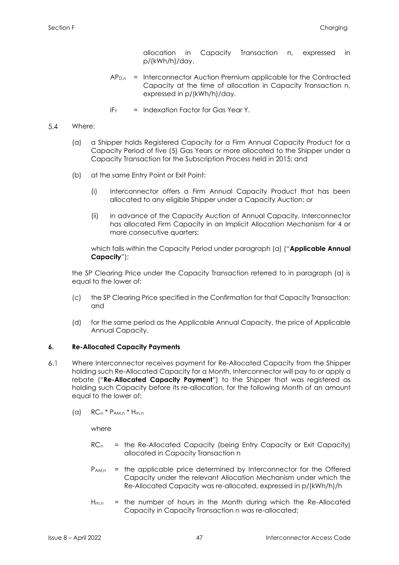allocation in Capacity Transaction n, expressed in p/(kWh/h)/day.

- $AP<sub>D,n</sub>$  = Interconnector Auction Premium applicable for the Contracted Capacity at the time of allocation in Capacity Transaction n, expressed in p/(kWh/h)/day.
- $IF<sub>y</sub> = Indexation Factor for Gas Year Y.$

#### $5.4$ Where:

- (a) a Shipper holds Registered Capacity for a Firm Annual Capacity Product for a Capacity Period of five (5) Gas Years or more allocated to the Shipper under a Capacity Transaction for the Subscription Process held in 2015; and
- (b) at the same Entry Point or Exit Point:
	- (i) Interconnector offers a Firm Annual Capacity Product that has been allocated to any eligible Shipper under a Capacity Auction; or
	- (ii) in advance of the Capacity Auction of Annual Capacity, Interconnector has allocated Firm Capacity in an Implicit Allocation Mechanism for 4 or more consecutive quarters;

which falls within the Capacity Period under paragraph (a) ("**Applicable Annual Capacity**");

the SP Clearing Price under the Capacity Transaction referred to in paragraph (a) is equal to the lower of:

- (c) the SP Clearing Price specified in the Confirmation for that Capacity Transaction; and
- (d) for the same period as the Applicable Annual Capacity, the price of Applicable Annual Capacity.

# <span id="page-51-0"></span>**6. Re-Allocated Capacity Payments**

- $6.1$ Where Interconnector receives payment for Re-Allocated Capacity from the Shipper holding such Re-Allocated Capacity for a Month, Interconnector will pay to or apply a rebate ("**Re-Allocated Capacity Payment**") to the Shipper that was registered as holding such Capacity before its re-allocation, for the following Month of an amount equal to the lower of:
	- $(a)$  RCn<sup>\*</sup> P<sub>AM,n</sub><sup>\*</sup> H<sub>m,n</sub>

where

- $RC<sub>n</sub>$  = the Re-Allocated Capacity (being Entry Capacity or Exit Capacity) allocated in Capacity Transaction n
- P<sub>AM,n</sub> = the applicable price determined by Interconnector for the Offered Capacity under the relevant Allocation Mechanism under which the Re-Allocated Capacity was re-allocated, expressed in p/(kWh/h)/h
- $H_{m,n}$  = the number of hours in the Month during which the Re-Allocated Capacity in Capacity Transaction n was re-allocated;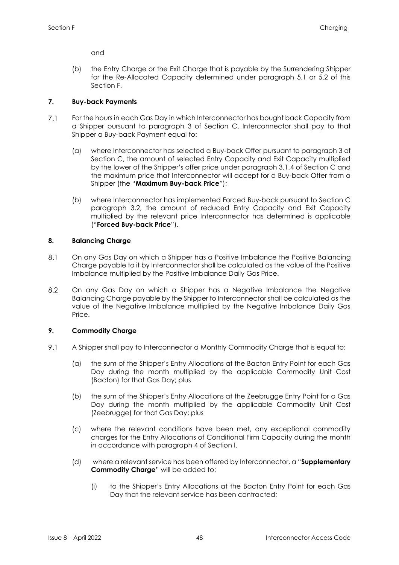and

(b) the Entry Charge or the Exit Charge that is payable by the Surrendering Shipper for the Re-Allocated Capacity determined under paragraph 5.1 or 5.2 of this Section F.

# <span id="page-52-0"></span>**7. Buy-back Payments**

- $7.1$ For the hours in each Gas Day in which Interconnector has bought back Capacity from a Shipper pursuant to paragraph 3 of Section C, Interconnector shall pay to that Shipper a Buy-back Payment equal to:
	- (a) where Interconnector has selected a Buy-back Offer pursuant to paragraph 3 of Section C, the amount of selected Entry Capacity and Exit Capacity multiplied by the lower of the Shipper's offer price under paragraph 3.1.4 of Section C and the maximum price that Interconnector will accept for a Buy-back Offer from a Shipper (the "**Maximum Buy-back Price**");
	- (b) where Interconnector has implemented Forced Buy-back pursuant to Section C paragraph 3.2, the amount of reduced Entry Capacity and Exit Capacity multiplied by the relevant price Interconnector has determined is applicable ("**Forced Buy-back Price**").

# <span id="page-52-1"></span>**8. Balancing Charge**

- $8.1$ On any Gas Day on which a Shipper has a Positive Imbalance the Positive Balancing Charge payable to it by Interconnector shall be calculated as the value of the Positive Imbalance multiplied by the Positive Imbalance Daily Gas Price.
- $8.2$ On any Gas Day on which a Shipper has a Negative Imbalance the Negative Balancing Charge payable by the Shipper to Interconnector shall be calculated as the value of the Negative Imbalance multiplied by the Negative Imbalance Daily Gas Price.

# <span id="page-52-2"></span>**9. Commodity Charge**

- 9.1 A Shipper shall pay to Interconnector a Monthly Commodity Charge that is equal to:
	- (a) the sum of the Shipper's Entry Allocations at the Bacton Entry Point for each Gas Day during the month multiplied by the applicable Commodity Unit Cost (Bacton) for that Gas Day; plus
	- (b) the sum of the Shipper's Entry Allocations at the Zeebrugge Entry Point for a Gas Day during the month multiplied by the applicable Commodity Unit Cost (Zeebrugge) for that Gas Day; plus
	- (c) where the relevant conditions have been met, any exceptional commodity charges for the Entry Allocations of Conditional Firm Capacity during the month in accordance with paragraph 4 of Section I.
	- (d) where a relevant service has been offered by Interconnector, a "**Supplementary Commodity Charge**" will be added to:
		- (i) to the Shipper's Entry Allocations at the Bacton Entry Point for each Gas Day that the relevant service has been contracted;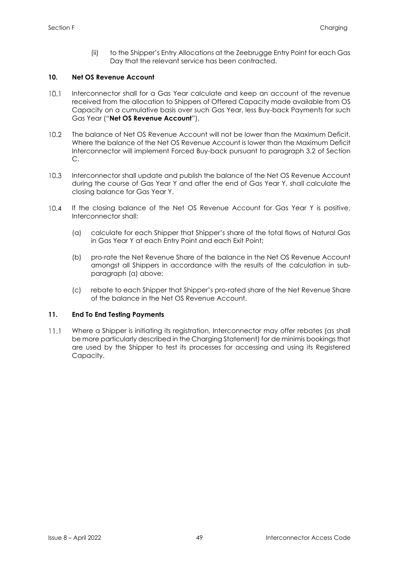(ii) to the Shipper's Entry Allocations at the Zeebrugge Entry Point for each Gas Day that the relevant service has been contracted.

# <span id="page-53-0"></span>**10. Net OS Revenue Account**

- $10.1$ Interconnector shall for a Gas Year calculate and keep an account of the revenue received from the allocation to Shippers of Offered Capacity made available from OS Capacity on a cumulative basis over such Gas Year, less Buy-back Payments for such Gas Year ("**Net OS Revenue Account**").
- The balance of Net OS Revenue Account will not be lower than the Maximum Deficit.  $10.2<sup>°</sup>$ Where the balance of the Net OS Revenue Account is lower than the Maximum Deficit Interconnector will implement Forced Buy-back pursuant to paragraph 3.2 of Section C.
- $10.3$ Interconnector shall update and publish the balance of the Net OS Revenue Account during the course of Gas Year Y and after the end of Gas Year Y, shall calculate the closing balance for Gas Year Y.
- $10.4$ If the closing balance of the Net OS Revenue Account for Gas Year Y is positive, Interconnector shall:
	- (a) calculate for each Shipper that Shipper's share of the total flows of Natural Gas in Gas Year Y at each Entry Point and each Exit Point;
	- (b) pro-rate the Net Revenue Share of the balance in the Net OS Revenue Account amongst all Shippers in accordance with the results of the calculation in subparagraph (a) above;
	- (c) rebate to each Shipper that Shipper's pro-rated share of the Net Revenue Share of the balance in the Net OS Revenue Account.

# <span id="page-53-1"></span>**11. End To End Testing Payments**

 $11.1$ Where a Shipper is initiating its registration, Interconnector may offer rebates (as shall be more particularly described in the Charging Statement) for de minimis bookings that are used by the Shipper to test its processes for accessing and using its Registered Capacity.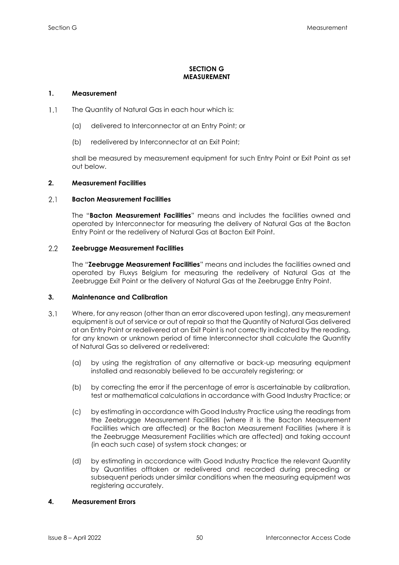# **SECTION G MEASUREMENT**

# <span id="page-54-1"></span><span id="page-54-0"></span>**1. Measurement**

- $1.1$ The Quantity of Natural Gas in each hour which is:
	- (a) delivered to Interconnector at an Entry Point; or
	- (b) redelivered by Interconnector at an Exit Point;

shall be measured by measurement equipment for such Entry Point or Exit Point as set out below.

# <span id="page-54-2"></span>**2. Measurement Facilities**

#### $2.1$ **Bacton Measurement Facilities**

The "**Bacton Measurement Facilities**" means and includes the facilities owned and operated by Interconnector for measuring the delivery of Natural Gas at the Bacton Entry Point or the redelivery of Natural Gas at Bacton Exit Point.

#### 2.2 **Zeebrugge Measurement Facilities**

The "**Zeebrugge Measurement Facilities**" means and includes the facilities owned and operated by Fluxys Belgium for measuring the redelivery of Natural Gas at the Zeebrugge Exit Point or the delivery of Natural Gas at the Zeebrugge Entry Point.

# <span id="page-54-3"></span>**3. Maintenance and Calibration**

- $3.1$ Where, for any reason (other than an error discovered upon testing), any measurement equipment is out of service or out of repair so that the Quantity of Natural Gas delivered at an Entry Point or redelivered at an Exit Point is not correctly indicated by the reading, for any known or unknown period of time Interconnector shall calculate the Quantity of Natural Gas so delivered or redelivered:
	- (a) by using the registration of any alternative or back-up measuring equipment installed and reasonably believed to be accurately registering; or
	- (b) by correcting the error if the percentage of error is ascertainable by calibration, test or mathematical calculations in accordance with Good Industry Practice; or
	- (c) by estimating in accordance with Good Industry Practice using the readings from the Zeebrugge Measurement Facilities (where it is the Bacton Measurement Facilities which are affected) or the Bacton Measurement Facilities (where it is the Zeebrugge Measurement Facilities which are affected) and taking account (in each such case) of system stock changes; or
	- (d) by estimating in accordance with Good Industry Practice the relevant Quantity by Quantities offtaken or redelivered and recorded during preceding or subsequent periods under similar conditions when the measuring equipment was registering accurately.

# <span id="page-54-4"></span>**4. Measurement Errors**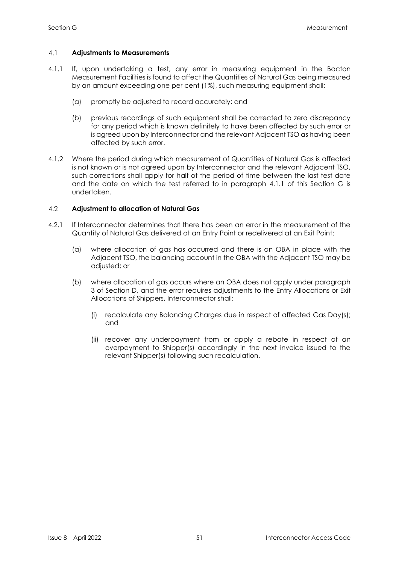#### $4.1$ **Adjustments to Measurements**

- 4.1.1 If, upon undertaking a test, any error in measuring equipment in the Bacton Measurement Facilities is found to affect the Quantities of Natural Gas being measured by an amount exceeding one per cent (1%), such measuring equipment shall:
	- (a) promptly be adjusted to record accurately; and
	- (b) previous recordings of such equipment shall be corrected to zero discrepancy for any period which is known definitely to have been affected by such error or is agreed upon by Interconnector and the relevant Adjacent TSO as having been affected by such error.
- 4.1.2 Where the period during which measurement of Quantities of Natural Gas is affected is not known or is not agreed upon by Interconnector and the relevant Adjacent TSO, such corrections shall apply for half of the period of time between the last test date and the date on which the test referred to in paragraph 4.1.1 of this Section G is undertaken.

#### 4.2 **Adjustment to allocation of Natural Gas**

- 4.2.1 If Interconnector determines that there has been an error in the measurement of the Quantity of Natural Gas delivered at an Entry Point or redelivered at an Exit Point:
	- (a) where allocation of gas has occurred and there is an OBA in place with the Adjacent TSO, the balancing account in the OBA with the Adjacent TSO may be adjusted; or
	- (b) where allocation of gas occurs where an OBA does not apply under paragraph 3 of Section D, and the error requires adjustments to the Entry Allocations or Exit Allocations of Shippers, Interconnector shall:
		- (i) recalculate any Balancing Charges due in respect of affected Gas Day(s); and
		- (ii) recover any underpayment from or apply a rebate in respect of an overpayment to Shipper(s) accordingly in the next invoice issued to the relevant Shipper(s) following such recalculation.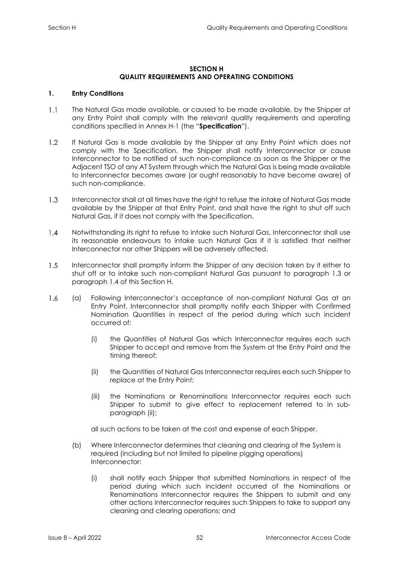# **SECTION H QUALITY REQUIREMENTS AND OPERATING CONDITIONS**

# <span id="page-56-1"></span><span id="page-56-0"></span>**1. Entry Conditions**

- $1.1$ The Natural Gas made available, or caused to be made available, by the Shipper at any Entry Point shall comply with the relevant quality requirements and operating conditions specified in Annex H-1 (the "**Specification**").
- $1.2$ If Natural Gas is made available by the Shipper at any Entry Point which does not comply with the Specification, the Shipper shall notify Interconnector or cause Interconnector to be notified of such non-compliance as soon as the Shipper or the Adjacent TSO of any AT System through which the Natural Gas is being made available to Interconnector becomes aware (or ought reasonably to have become aware) of such non-compliance.
- $1.3$ Interconnector shall at all times have the right to refuse the intake of Natural Gas made available by the Shipper at that Entry Point, and shall have the right to shut off such Natural Gas, if it does not comply with the Specification.
- $1.4$ Notwithstanding its right to refuse to intake such Natural Gas, Interconnector shall use its reasonable endeavours to intake such Natural Gas if it is satisfied that neither Interconnector nor other Shippers will be adversely affected.
- $1.5$ Interconnector shall promptly inform the Shipper of any decision taken by it either to shut off or to intake such non-compliant Natural Gas pursuant to paragraph 1.3 or paragraph 1.4 of this Section H.
- 1.6 (a) Following Interconnector's acceptance of non-compliant Natural Gas at an Entry Point, Interconnector shall promptly notify each Shipper with Confirmed Nomination Quantities in respect of the period during which such incident occurred of:
	- (i) the Quantities of Natural Gas which Interconnector requires each such Shipper to accept and remove from the System at the Entry Point and the timing thereof;
	- (ii) the Quantities of Natural Gas Interconnector requires each such Shipper to replace at the Entry Point;
	- (iii) the Nominations or Renominations Interconnector requires each such Shipper to submit to give effect to replacement referred to in subparagraph (ii);

all such actions to be taken at the cost and expense of each Shipper.

- (b) Where Interconnector determines that cleaning and clearing of the System is required (including but not limited to pipeline pigging operations) Interconnector:
	- (i) shall notify each Shipper that submitted Nominations in respect of the period during which such incident occurred of the Nominations or Renominations Interconnector requires the Shippers to submit and any other actions Interconnector requires such Shippers to take to support any cleaning and clearing operations; and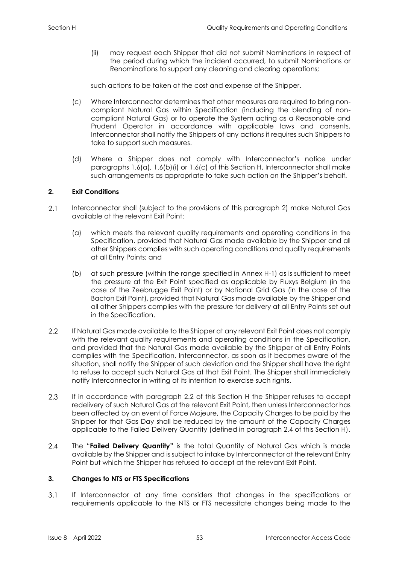(ii) may request each Shipper that did not submit Nominations in respect of the period during which the incident occurred, to submit Nominations or Renominations to support any cleaning and clearing operations;

such actions to be taken at the cost and expense of the Shipper.

- (c) Where Interconnector determines that other measures are required to bring noncompliant Natural Gas within Specification (including the blending of noncompliant Natural Gas) or to operate the System acting as a Reasonable and Prudent Operator in accordance with applicable laws and consents, Interconnector shall notify the Shippers of any actions it requires such Shippers to take to support such measures.
- (d) Where a Shipper does not comply with Interconnector's notice under paragraphs 1.6(a), 1.6(b)(i) or 1.6(c) of this Section H, Interconnector shall make such arrangements as appropriate to take such action on the Shipper's behalf.

# <span id="page-57-0"></span>**2. Exit Conditions**

- $2.1$ Interconnector shall (subject to the provisions of this paragraph 2) make Natural Gas available at the relevant Exit Point:
	- (a) which meets the relevant quality requirements and operating conditions in the Specification, provided that Natural Gas made available by the Shipper and all other Shippers complies with such operating conditions and quality requirements at all Entry Points; and
	- (b) at such pressure (within the range specified in Annex H-1) as is sufficient to meet the pressure at the Exit Point specified as applicable by Fluxys Belgium (in the case of the Zeebrugge Exit Point) or by National Grid Gas (in the case of the Bacton Exit Point), provided that Natural Gas made available by the Shipper and all other Shippers complies with the pressure for delivery at all Entry Points set out in the Specification.
- $2.2$ If Natural Gas made available to the Shipper at any relevant Exit Point does not comply with the relevant quality requirements and operating conditions in the Specification, and provided that the Natural Gas made available by the Shipper at all Entry Points complies with the Specification, Interconnector, as soon as it becomes aware of the situation, shall notify the Shipper of such deviation and the Shipper shall have the right to refuse to accept such Natural Gas at that Exit Point. The Shipper shall immediately notify Interconnector in writing of its intention to exercise such rights.
- $2.3$ If in accordance with paragraph 2.2 of this Section H the Shipper refuses to accept redelivery of such Natural Gas at the relevant Exit Point, then unless Interconnector has been affected by an event of Force Majeure, the Capacity Charges to be paid by the Shipper for that Gas Day shall be reduced by the amount of the Capacity Charges applicable to the Failed Delivery Quantity (defined in paragraph 2.4 of this Section H).
- $2.4$ The "**Failed Delivery Quantity"** is the total Quantity of Natural Gas which is made available by the Shipper and is subject to intake by Interconnector at the relevant Entry Point but which the Shipper has refused to accept at the relevant Exit Point.

# <span id="page-57-1"></span>**3. Changes to NTS or FTS Specifications**

 $3.1$ If Interconnector at any time considers that changes in the specifications or requirements applicable to the NTS or FTS necessitate changes being made to the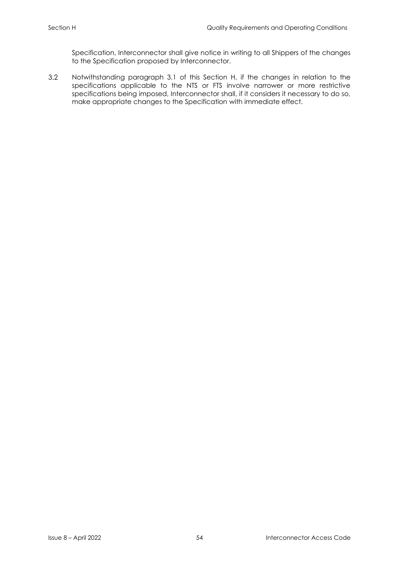Specification, Interconnector shall give notice in writing to all Shippers of the changes to the Specification proposed by Interconnector.

 $3.2$ Notwithstanding paragraph 3.1 of this Section H, if the changes in relation to the specifications applicable to the NTS or FTS involve narrower or more restrictive specifications being imposed, Interconnector shall, if it considers it necessary to do so, make appropriate changes to the Specification with immediate effect.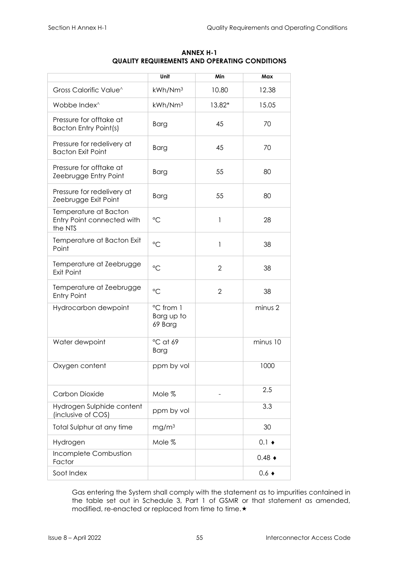<span id="page-59-0"></span>

|                                                                | Unit                               | Min            | Max                  |
|----------------------------------------------------------------|------------------------------------|----------------|----------------------|
| Gross Calorific Value^                                         | kWh/Nm <sup>3</sup>                | 10.80          | 12.38                |
| Wobbe Index <sup>^</sup>                                       | kWh/Nm <sup>3</sup>                | 13.82*         | 15.05                |
| Pressure for offtake at<br><b>Bacton Entry Point(s)</b>        | <b>Barg</b>                        | 45             | 70                   |
| Pressure for redelivery at<br><b>Bacton Exit Point</b>         | <b>Barg</b>                        | 45             | 70                   |
| Pressure for offtake at<br>Zeebrugge Entry Point               | <b>Barg</b>                        | 55             | 80                   |
| Pressure for redelivery at<br>Zeebrugge Exit Point             | <b>Barg</b>                        | 55             | 80                   |
| Temperature at Bacton<br>Entry Point connected with<br>the NTS | $\rm ^{\circ}C$                    | 1              | 28                   |
| Temperature at Bacton Exit<br>Point                            | $\rm ^{\circ}C$                    | 1              | 38                   |
| Temperature at Zeebrugge<br>Exit Point                         | $\rm ^{\circ}C$                    | $\overline{2}$ | 38                   |
| Temperature at Zeebrugge<br><b>Entry Point</b>                 | $\rm ^{\circ}C$                    | $\overline{2}$ | 38                   |
| Hydrocarbon dewpoint                                           | °C from 1<br>Barg up to<br>69 Barg |                | minus 2              |
| Water dewpoint                                                 | °C at 69<br><b>Barg</b>            |                | minus 10             |
| Oxygen content                                                 | ppm by vol                         |                | 1000                 |
| Carbon Dioxide                                                 | Mole %                             |                | 2.5                  |
| Hydrogen Sulphide content<br>(inclusive of COS)                | ppm by vol                         |                | 3.3                  |
| Total Sulphur at any time                                      | mg/m <sup>3</sup>                  |                | 30                   |
| Hydrogen                                                       | Mole %                             |                | $0.1 \bullet$        |
| Incomplete Combustion<br>Factor                                |                                    |                | $0.48 \triangleleft$ |
| Soot Index                                                     |                                    |                | $0.6 \triangleleft$  |

# **ANNEX H-1 QUALITY REQUIREMENTS AND OPERATING CONDITIONS**

Gas entering the System shall comply with the statement as to impurities contained in the table set out in Schedule 3, Part 1 of GSMR or that statement as amended, modified, re-enacted or replaced from time to time. $\star$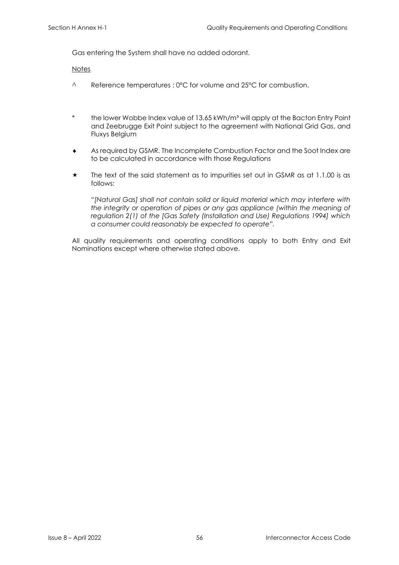Gas entering the System shall have no added odorant.

**Notes** 

- ^ Reference temperatures : 0°C for volume and 25°C for combustion.
- \* the lower Wobbe Index value of 13.65 kWh/m<sup>3</sup> will apply at the Bacton Entry Point and Zeebrugge Exit Point subject to the agreement with National Grid Gas, and Fluxys Belgium
- As required by GSMR. The Incomplete Combustion Factor and the Soot Index are to be calculated in accordance with those Regulations
- The text of the said statement as to impurities set out in GSMR as at 1.1.00 is as follows:

*"[Natural Gas] shall not contain solid or liquid material which may interfere with the integrity or operation of pipes or any gas appliance (within the meaning of regulation 2(1) of the [Gas Safety (Installation and Use) Regulations 1994] which a consumer could reasonably be expected to operate".* 

All quality requirements and operating conditions apply to both Entry and Exit Nominations except where otherwise stated above.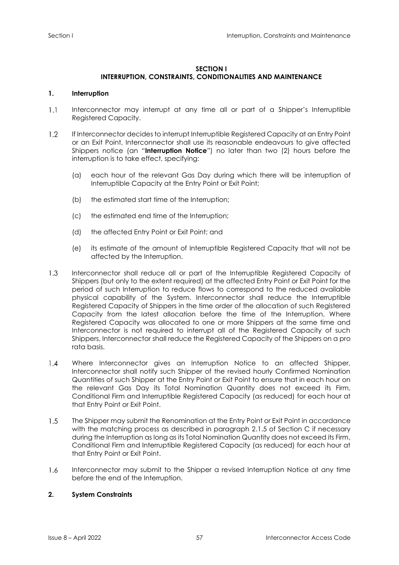### **SECTION I**

# **INTERRUPTION, CONSTRAINTS, CONDITIONALITIES AND MAINTENANCE**

# <span id="page-61-1"></span><span id="page-61-0"></span>**1. Interruption**

- $1.1$ Interconnector may interrupt at any time all or part of a Shipper's Interruptible Registered Capacity.
- $1.2<sub>1</sub>$ If Interconnector decides to interrupt Interruptible Registered Capacity at an Entry Point or an Exit Point, Interconnector shall use its reasonable endeavours to give affected Shippers notice (an "**Interruption Notice**") no later than two (2) hours before the interruption is to take effect, specifying:
	- (a) each hour of the relevant Gas Day during which there will be interruption of Interruptible Capacity at the Entry Point or Exit Point;
	- (b) the estimated start time of the Interruption;
	- (c) the estimated end time of the Interruption;
	- (d) the affected Entry Point or Exit Point; and
	- (e) its estimate of the amount of Interruptible Registered Capacity that will not be affected by the Interruption.
- Interconnector shall reduce all or part of the Interruptible Registered Capacity of  $1.3<sub>l</sub>$ Shippers (but only to the extent required) at the affected Entry Point or Exit Point for the period of such Interruption to reduce flows to correspond to the reduced available physical capability of the System. Interconnector shall reduce the Interruptible Registered Capacity of Shippers in the time order of the allocation of such Registered Capacity from the latest allocation before the time of the Interruption. Where Registered Capacity was allocated to one or more Shippers at the same time and Interconnector is not required to interrupt all of the Registered Capacity of such Shippers, Interconnector shall reduce the Registered Capacity of the Shippers on a pro rata basis.
- $1.4$ Where Interconnector gives an Interruption Notice to an affected Shipper, Interconnector shall notify such Shipper of the revised hourly Confirmed Nomination Quantities of such Shipper at the Entry Point or Exit Point to ensure that in each hour on the relevant Gas Day its Total Nomination Quantity does not exceed its Firm, Conditional Firm and Interruptible Registered Capacity (as reduced) for each hour at that Entry Point or Exit Point.
- $1.5$ The Shipper may submit the Renomination at the Entry Point or Exit Point in accordance with the matching process as described in paragraph 2.1.5 of Section C if necessary during the Interruption as long as its Total Nomination Quantity does not exceed its Firm, Conditional Firm and Interruptible Registered Capacity (as reduced) for each hour at that Entry Point or Exit Point.
- $1.6$ Interconnector may submit to the Shipper a revised Interruption Notice at any time before the end of the Interruption.

# <span id="page-61-2"></span>**2. System Constraints**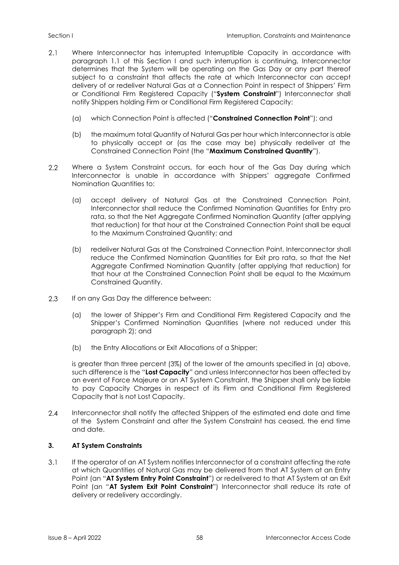- $2.1$ Where Interconnector has interrupted Interruptible Capacity in accordance with paragraph 1.1 of this Section I and such interruption is continuing, Interconnector determines that the System will be operating on the Gas Day or any part thereof subject to a constraint that affects the rate at which Interconnector can accept delivery of or redeliver Natural Gas at a Connection Point in respect of Shippers' Firm or Conditional Firm Registered Capacity ("**System Constraint**") Interconnector shall notify Shippers holding Firm or Conditional Firm Registered Capacity:
	- (a) which Connection Point is affected ("**Constrained Connection Point**"); and
	- (b) the maximum total Quantity of Natural Gas per hour which Interconnector is able to physically accept or (as the case may be) physically redeliver at the Constrained Connection Point (the "**Maximum Constrained Quantity**").
- $2.2$ Where a System Constraint occurs, for each hour of the Gas Day during which Interconnector is unable in accordance with Shippers' aggregate Confirmed Nomination Quantities to:
	- (a) accept delivery of Natural Gas at the Constrained Connection Point, Interconnector shall reduce the Confirmed Nomination Quantities for Entry pro rata, so that the Net Aggregate Confirmed Nomination Quantity (after applying that reduction) for that hour at the Constrained Connection Point shall be equal to the Maximum Constrained Quantity; and
	- (b) redeliver Natural Gas at the Constrained Connection Point, Interconnector shall reduce the Confirmed Nomination Quantities for Exit pro rata, so that the Net Aggregate Confirmed Nomination Quantity (after applying that reduction) for that hour at the Constrained Connection Point shall be equal to the Maximum Constrained Quantity.
- 2.3 If on any Gas Day the difference between:
	- (a) the lower of Shipper's Firm and Conditional Firm Registered Capacity and the Shipper's Confirmed Nomination Quantities (where not reduced under this paragraph 2); and
	- (b) the Entry Allocations or Exit Allocations of a Shipper;

is greater than three percent (3%) of the lower of the amounts specified in (a) above, such difference is the "**Lost Capacity**" and unless Interconnector has been affected by an event of Force Majeure or an AT System Constraint, the Shipper shall only be liable to pay Capacity Charges in respect of its Firm and Conditional Firm Registered Capacity that is not Lost Capacity.

 $2.4$ Interconnector shall notify the affected Shippers of the estimated end date and time of the System Constraint and after the System Constraint has ceased, the end time and date.

# <span id="page-62-0"></span>**3. AT System Constraints**

 $3.1$ If the operator of an AT System notifies Interconnector of a constraint affecting the rate at which Quantities of Natural Gas may be delivered from that AT System at an Entry Point (an "**AT System Entry Point Constraint**") or redelivered to that AT System at an Exit Point (an "**AT System Exit Point Constraint**") Interconnector shall reduce its rate of delivery or redelivery accordingly.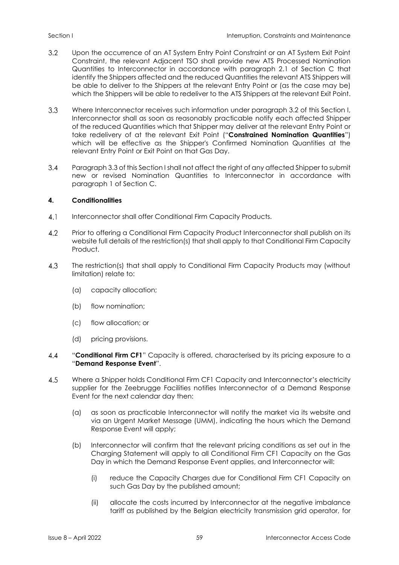- $3.2$ Upon the occurrence of an AT System Entry Point Constraint or an AT System Exit Point Constraint, the relevant Adjacent TSO shall provide new ATS Processed Nomination Quantities to Interconnector in accordance with paragraph 2.1 of Section C that identify the Shippers affected and the reduced Quantities the relevant ATS Shippers will be able to deliver to the Shippers at the relevant Entry Point or (as the case may be) which the Shippers will be able to redeliver to the ATS Shippers at the relevant Exit Point.
- $3.3$ Where Interconnector receives such information under paragraph 3.2 of this Section I, Interconnector shall as soon as reasonably practicable notify each affected Shipper of the reduced Quantities which that Shipper may deliver at the relevant Entry Point or take redelivery of at the relevant Exit Point ("**Constrained Nomination Quantities**") which will be effective as the Shipper's Confirmed Nomination Quantities at the relevant Entry Point or Exit Point on that Gas Day.
- $3.4$ Paragraph 3.3 of this Section I shall not affect the right of any affected Shipper to submit new or revised Nomination Quantities to Interconnector in accordance with paragraph 1 of Section C.

# <span id="page-63-0"></span>**4. Conditionalities**

- $4.1$ Interconnector shall offer Conditional Firm Capacity Products.
- $4.2$ Prior to offering a Conditional Firm Capacity Product Interconnector shall publish on its website full details of the restriction(s) that shall apply to that Conditional Firm Capacity Product.
- $4.3$ The restriction(s) that shall apply to Conditional Firm Capacity Products may (without limitation) relate to:
	- (a) capacity allocation;
	- (b) flow nomination;
	- (c) flow allocation; or
	- (d) pricing provisions.
- $4.4$ "**Conditional Firm CF1**" Capacity is offered, characterised by its pricing exposure to a "**Demand Response Event**".
- $4.5$ Where a Shipper holds Conditional Firm CF1 Capacity and Interconnector's electricity supplier for the Zeebrugge Facilities notifies Interconnector of a Demand Response Event for the next calendar day then:
	- (a) as soon as practicable Interconnector will notify the market via its website and via an Urgent Market Message (UMM), indicating the hours which the Demand Response Event will apply;
	- (b) Interconnector will confirm that the relevant pricing conditions as set out in the Charging Statement will apply to all Conditional Firm CF1 Capacity on the Gas Day in which the Demand Response Event applies, and Interconnector will:
		- (i) reduce the Capacity Charges due for Conditional Firm CF1 Capacity on such Gas Day by the published amount;
		- (ii) allocate the costs incurred by Interconnector at the negative imbalance tariff as published by the Belgian electricity transmission grid operator, for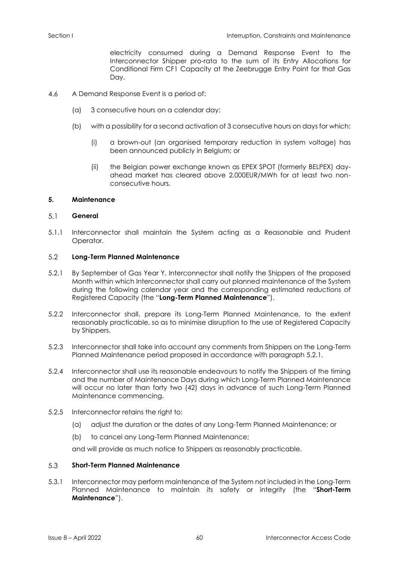electricity consumed during a Demand Response Event to the Interconnector Shipper pro-rata to the sum of its Entry Allocations for Conditional Firm CF1 Capacity at the Zeebrugge Entry Point for that Gas Day.

- $4.6$ A Demand Response Event is a period of:
	- (a) 3 consecutive hours on a calendar day;
	- (b) with a possibility for a second activation of 3 consecutive hours on days for which:
		- (i) a brown-out (an organised temporary reduction in system voltage) has been announced publicly in Belgium; or
		- (ii) the Belgian power exchange known as EPEX SPOT (formerly BELPEX) dayahead market has cleared above 2,000EUR/MWh for at least two nonconsecutive hours.

# <span id="page-64-0"></span>**5. Maintenance**

#### $5.1$ **General**

5.1.1 Interconnector shall maintain the System acting as a Reasonable and Prudent Operator.

#### $5.2$ **Long-Term Planned Maintenance**

- 5.2.1 By September of Gas Year Y, Interconnector shall notify the Shippers of the proposed Month within which Interconnector shall carry out planned maintenance of the System during the following calendar year and the corresponding estimated reductions of Registered Capacity (the "**Long-Term Planned Maintenance**").
- 5.2.2 Interconnector shall, prepare its Long-Term Planned Maintenance, to the extent reasonably practicable, so as to minimise disruption to the use of Registered Capacity by Shippers.
- 5.2.3 Interconnector shall take into account any comments from Shippers on the Long-Term Planned Maintenance period proposed in accordance with paragraph 5.2.1.
- 5.2.4 Interconnector shall use its reasonable endeavours to notify the Shippers of the timing and the number of Maintenance Days during which Long-Term Planned Maintenance will occur no later than forty two (42) days in advance of such Long-Term Planned Maintenance commencing.
- 5.2.5 Interconnector retains the right to:
	- (a) adjust the duration or the dates of any Long-Term Planned Maintenance; or
	- (b) to cancel any Long-Term Planned Maintenance;

and will provide as much notice to Shippers as reasonably practicable.

#### 5.3 **Short-Term Planned Maintenance**

5.3.1 Interconnector may perform maintenance of the System not included in the Long-Term Planned Maintenance to maintain its safety or integrity (the "**Short-Term Maintenance**").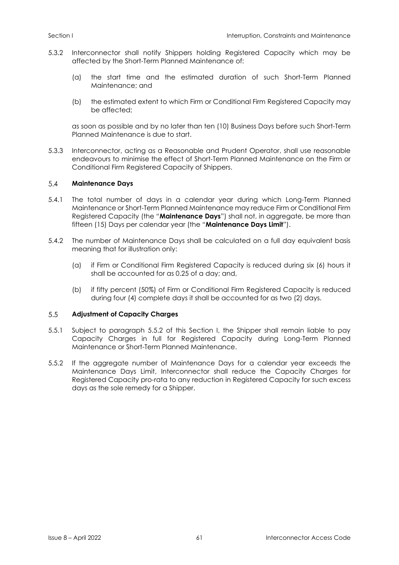- 5.3.2 Interconnector shall notify Shippers holding Registered Capacity which may be affected by the Short-Term Planned Maintenance of:
	- (a) the start time and the estimated duration of such Short-Term Planned Maintenance; and
	- (b) the estimated extent to which Firm or Conditional Firm Registered Capacity may be affected;

as soon as possible and by no later than ten (10) Business Days before such Short-Term Planned Maintenance is due to start.

5.3.3 Interconnector, acting as a Reasonable and Prudent Operator, shall use reasonable endeavours to minimise the effect of Short-Term Planned Maintenance on the Firm or Conditional Firm Registered Capacity of Shippers.

#### $5.4$ **Maintenance Days**

- 5.4.1 The total number of days in a calendar year during which Long-Term Planned Maintenance or Short-Term Planned Maintenance may reduce Firm or Conditional Firm Registered Capacity (the "**Maintenance Days**") shall not, in aggregate, be more than fifteen (15) Days per calendar year (the "**Maintenance Days Limit**").
- 5.4.2 The number of Maintenance Days shall be calculated on a full day equivalent basis meaning that for illustration only:
	- (a) if Firm or Conditional Firm Registered Capacity is reduced during six (6) hours it shall be accounted for as 0.25 of a day; and,
	- (b) if fifty percent (50%) of Firm or Conditional Firm Registered Capacity is reduced during four (4) complete days it shall be accounted for as two (2) days.

#### $5.5$ **Adjustment of Capacity Charges**

- 5.5.1 Subject to paragraph 5.5.2 of this Section I, the Shipper shall remain liable to pay Capacity Charges in full for Registered Capacity during Long-Term Planned Maintenance or Short-Term Planned Maintenance.
- 5.5.2 If the aggregate number of Maintenance Days for a calendar year exceeds the Maintenance Days Limit, Interconnector shall reduce the Capacity Charges for Registered Capacity pro-rata to any reduction in Registered Capacity for such excess days as the sole remedy for a Shipper.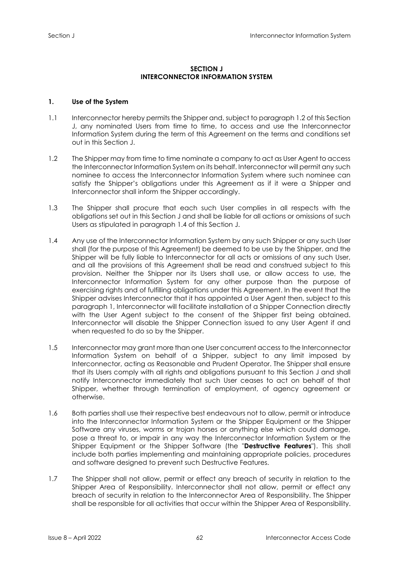# **SECTION J INTERCONNECTOR INFORMATION SYSTEM**

# <span id="page-66-2"></span><span id="page-66-1"></span><span id="page-66-0"></span>**1. Use of the System**

- 1.1 Interconnector hereby permits the Shipper and, subject to paragraph 1.2 of this Section J, any nominated Users from time to time, to access and use the Interconnector Information System during the term of this Agreement on the terms and conditions set out in this Section J.
- 1.2 The Shipper may from time to time nominate a company to act as User Agent to access the Interconnector Information System on its behalf. Interconnector will permit any such nominee to access the Interconnector Information System where such nominee can satisfy the Shipper's obligations under this Agreement as if it were a Shipper and Interconnector shall inform the Shipper accordingly.
- 1.3 The Shipper shall procure that each such User complies in all respects with the obligations set out in this Section J and shall be liable for all actions or omissions of such Users as stipulated in paragraph 1.4 of this Section J.
- 1.4 Any use of the Interconnector Information System by any such Shipper or any such User shall (for the purpose of this Agreement) be deemed to be use by the Shipper, and the Shipper will be fully liable to Interconnector for all acts or omissions of any such User, and all the provisions of this Agreement shall be read and construed subject to this provision. Neither the Shipper nor its Users shall use, or allow access to use, the Interconnector Information System for any other purpose than the purpose of exercising rights and of fulfilling obligations under this Agreement. In the event that the Shipper advises Interconnector that it has appointed a User Agent then, subject to this paragraph 1, Interconnector will facilitate installation of a Shipper Connection directly with the User Agent subject to the consent of the Shipper first being obtained. Interconnector will disable the Shipper Connection issued to any User Agent if and when requested to do so by the Shipper.
- 1.5 Interconnector may grant more than one User concurrent access to the Interconnector Information System on behalf of a Shipper, subject to any limit imposed by Interconnector, acting as Reasonable and Prudent Operator. The Shipper shall ensure that its Users comply with all rights and obligations pursuant to this Section J and shall notify Interconnector immediately that such User ceases to act on behalf of that Shipper, whether through termination of employment, of agency agreement or otherwise.
- 1.6 Both parties shall use their respective best endeavours not to allow, permit or introduce into the Interconnector Information System or the Shipper Equipment or the Shipper Software any viruses, worms or trojan horses or anything else which could damage, pose a threat to, or impair in any way the Interconnector Information System or the Shipper Equipment or the Shipper Software (the "**Destructive Features**"). This shall include both parties implementing and maintaining appropriate policies, procedures and software designed to prevent such Destructive Features.
- 1.7 The Shipper shall not allow, permit or effect any breach of security in relation to the Shipper Area of Responsibility. Interconnector shall not allow, permit or effect any breach of security in relation to the Interconnector Area of Responsibility. The Shipper shall be responsible for all activities that occur within the Shipper Area of Responsibility.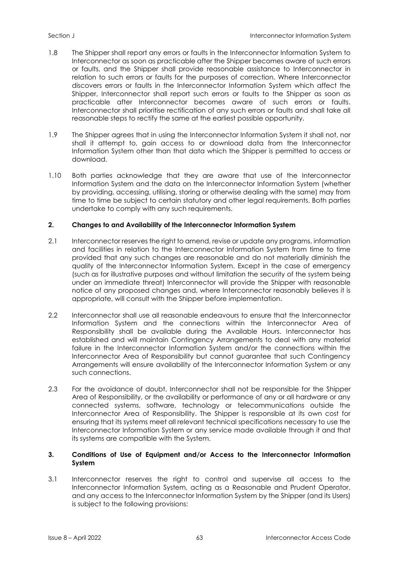- 1.8 The Shipper shall report any errors or faults in the Interconnector Information System to Interconnector as soon as practicable after the Shipper becomes aware of such errors or faults, and the Shipper shall provide reasonable assistance to Interconnector in relation to such errors or faults for the purposes of correction. Where Interconnector discovers errors or faults in the Interconnector Information System which affect the Shipper, Interconnector shall report such errors or faults to the Shipper as soon as practicable after Interconnector becomes aware of such errors or faults. Interconnector shall prioritise rectification of any such errors or faults and shall take all reasonable steps to rectify the same at the earliest possible opportunity.
- 1.9 The Shipper agrees that in using the Interconnector Information System it shall not, nor shall it attempt to, gain access to or download data from the Interconnector Information System other than that data which the Shipper is permitted to access or download.
- 1.10 Both parties acknowledge that they are aware that use of the Interconnector Information System and the data on the Interconnector Information System (whether by providing, accessing, utilising, storing or otherwise dealing with the same) may from time to time be subject to certain statutory and other legal requirements. Both parties undertake to comply with any such requirements.

# <span id="page-67-0"></span>**2. Changes to and Availability of the Interconnector Information System**

- 2.1 Interconnector reserves the right to amend, revise or update any programs, information and facilities in relation to the Interconnector Information System from time to time provided that any such changes are reasonable and do not materially diminish the quality of the Interconnector Information System. Except in the case of emergency (such as for illustrative purposes and without limitation the security of the system being under an immediate threat) Interconnector will provide the Shipper with reasonable notice of any proposed changes and, where Interconnector reasonably believes it is appropriate, will consult with the Shipper before implementation.
- 2.2 Interconnector shall use all reasonable endeavours to ensure that the Interconnector Information System and the connections within the Interconnector Area of Responsibility shall be available during the Available Hours. Interconnector has established and will maintain Contingency Arrangements to deal with any material failure in the Interconnector Information System and/or the connections within the Interconnector Area of Responsibility but cannot guarantee that such Contingency Arrangements will ensure availability of the Interconnector Information System or any such connections.
- 2.3 For the avoidance of doubt, Interconnector shall not be responsible for the Shipper Area of Responsibility, or the availability or performance of any or all hardware or any connected systems, software, technology or telecommunications outside the Interconnector Area of Responsibility. The Shipper is responsible at its own cost for ensuring that its systems meet all relevant technical specifications necessary to use the Interconnector Information System or any service made available through it and that its systems are compatible with the System.

# <span id="page-67-1"></span>**3. Conditions of Use of Equipment and/or Access to the Interconnector Information System**

3.1 Interconnector reserves the right to control and supervise all access to the Interconnector Information System, acting as a Reasonable and Prudent Operator, and any access to the Interconnector Information System by the Shipper (and its Users) is subject to the following provisions: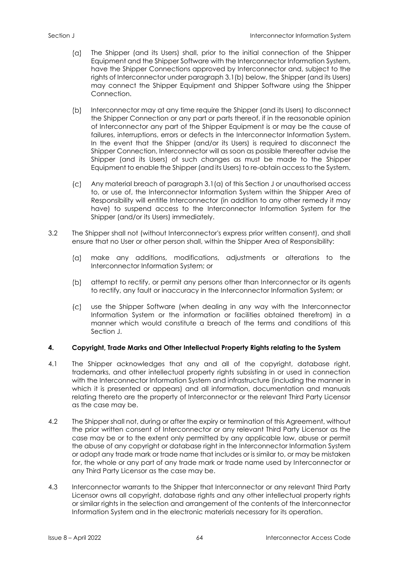- The Shipper (and its Users) shall, prior to the initial connection of the Shipper  $(\alpha)$ Equipment and the Shipper Software with the Interconnector Information System, have the Shipper Connections approved by Interconnector and, subject to the rights of Interconnector under paragraph 3.1(b) below, the Shipper (and its Users) may connect the Shipper Equipment and Shipper Software using the Shipper Connection.
- $(b)$ Interconnector may at any time require the Shipper (and its Users) to disconnect the Shipper Connection or any part or parts thereof, if in the reasonable opinion of Interconnector any part of the Shipper Equipment is or may be the cause of failures, interruptions, errors or defects in the Interconnector Information System. In the event that the Shipper (and/or its Users) is required to disconnect the Shipper Connection, Interconnector will as soon as possible thereafter advise the Shipper (and its Users) of such changes as must be made to the Shipper Equipment to enable the Shipper (and its Users) to re-obtain access to the System.
- $\mathcal{L}(\mathsf{C})$ Any material breach of paragraph 3.1(a) of this Section J or unauthorised access to, or use of, the Interconnector Information System within the Shipper Area of Responsibility will entitle Interconnector (in addition to any other remedy it may have) to suspend access to the Interconnector Information System for the Shipper (and/or its Users) immediately.
- 3.2 The Shipper shall not (without Interconnector's express prior written consent), and shall ensure that no User or other person shall, within the Shipper Area of Responsibility:
	- make any additions, modifications, adjustments or alterations to the  $(a)$ Interconnector Information System; or
	- $(b)$ attempt to rectify, or permit any persons other than Interconnector or its agents to rectify, any fault or inaccuracy in the Interconnector Information System; or
	- use the Shipper Software (when dealing in any way with the Interconnector  $(C)$ Information System or the information or facilities obtained therefrom) in a manner which would constitute a breach of the terms and conditions of this Section J.

# <span id="page-68-0"></span>**4. Copyright, Trade Marks and Other Intellectual Property Rights relating to the System**

- 4.1 The Shipper acknowledges that any and all of the copyright, database right, trademarks, and other intellectual property rights subsisting in or used in connection with the Interconnector Information System and infrastructure (including the manner in which it is presented or appears) and all information, documentation and manuals relating thereto are the property of Interconnector or the relevant Third Party Licensor as the case may be.
- 4.2 The Shipper shall not, during or after the expiry or termination of this Agreement, without the prior written consent of Interconnector or any relevant Third Party Licensor as the case may be or to the extent only permitted by any applicable law, abuse or permit the abuse of any copyright or database right in the Interconnector Information System or adopt any trade mark or trade name that includes or is similar to, or may be mistaken for, the whole or any part of any trade mark or trade name used by Interconnector or any Third Party Licensor as the case may be.
- 4.3 Interconnector warrants to the Shipper that Interconnector or any relevant Third Party Licensor owns all copyright, database rights and any other intellectual property rights or similar rights in the selection and arrangement of the contents of the Interconnector Information System and in the electronic materials necessary for its operation.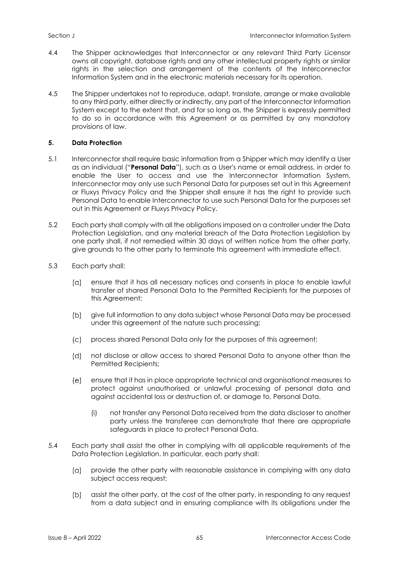- 4.4 The Shipper acknowledges that Interconnector or any relevant Third Party Licensor owns all copyright, database rights and any other intellectual property rights or similar rights in the selection and arrangement of the contents of the Interconnector Information System and in the electronic materials necessary for its operation.
- 4.5 The Shipper undertakes not to reproduce, adapt, translate, arrange or make available to any third party, either directly or indirectly, any part of the Interconnector Information System except to the extent that, and for so long as, the Shipper is expressly permitted to do so in accordance with this Agreement or as permitted by any mandatory provisions of law.

# <span id="page-69-0"></span>**5. Data Protection**

- 5.1 Interconnector shall require basic information from a Shipper which may identify a User as an individual ("**Personal Data**"), such as a User's name or email address, in order to enable the User to access and use the Interconnector Information System. Interconnector may only use such Personal Data for purposes set out in this Agreement or Fluxys Privacy Policy and the Shipper shall ensure it has the right to provide such Personal Data to enable Interconnector to use such Personal Data for the purposes set out in this Agreement or Fluxys Privacy Policy.
- 5.2 Each party shall comply with all the obligations imposed on a controller under the Data Protection Legislation, and any material breach of the Data Protection Legislation by one party shall, if not remedied within 30 days of written notice from the other party, give grounds to the other party to terminate this agreement with immediate effect.
- 5.3 Each party shall:
	- $(a)$ ensure that it has all necessary notices and consents in place to enable lawful transfer of shared Personal Data to the Permitted Recipients for the purposes of this Agreement;
	- $(b)$ give full information to any data subject whose Personal Data may be processed under this agreement of the nature such processing;
	- process shared Personal Data only for the purposes of this agreement;  $\mathcal{L}$
	- $(d)$ not disclose or allow access to shared Personal Data to anyone other than the Permitted Recipients;
	- $(e)$ ensure that it has in place appropriate technical and organisational measures to protect against unauthorised or unlawful processing of personal data and against accidental loss or destruction of, or damage to, Personal Data.
		- (i) not transfer any Personal Data received from the data discloser to another party unless the transferee can demonstrate that there are appropriate safeguards in place to protect Personal Data.
- 5.4 Each party shall assist the other in complying with all applicable requirements of the Data Protection Legislation. In particular, each party shall:
	- $(a)$ provide the other party with reasonable assistance in complying with any data subject access request;
	- $(b)$ assist the other party, at the cost of the other party, in responding to any request from a data subject and in ensuring compliance with its obligations under the